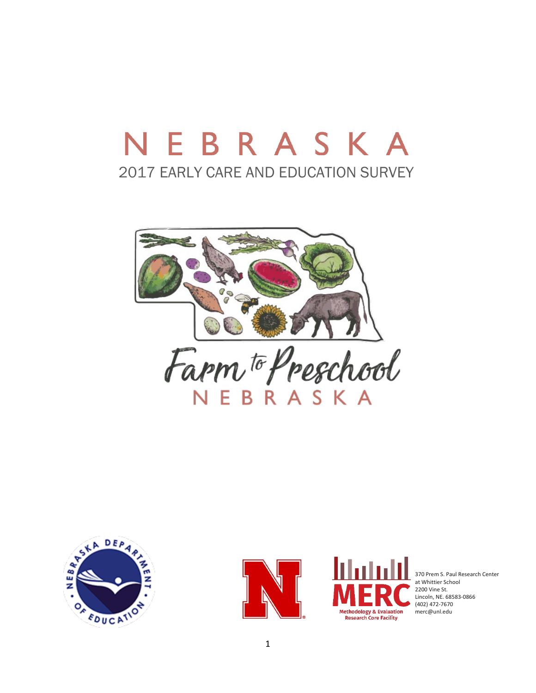# NEBRASKA 2017 EARLY CARE AND EDUCATION SURVEY









370 Prem S. Paul Research Center at Whittier School 2200 Vine St. Lincoln, NE. 68583-0866 (402) 472-7670 merc@unl.edu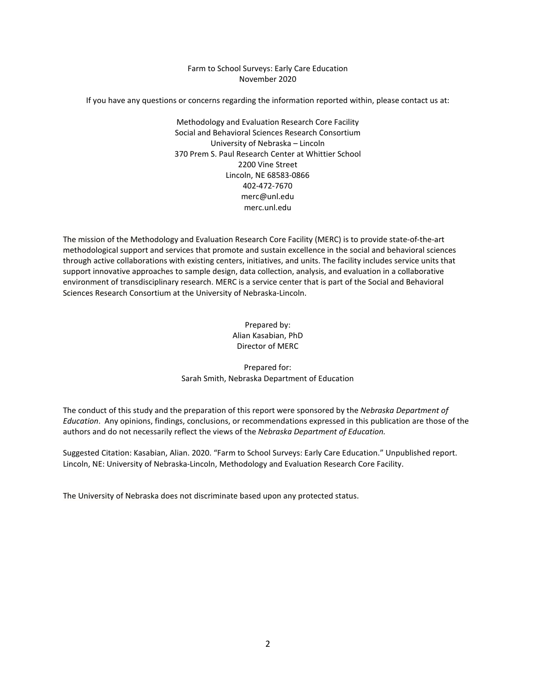### Farm to School Surveys: Early Care Education November 2020

If you have any questions or concerns regarding the information reported within, please contact us at:

Methodology and Evaluation Research Core Facility Social and Behavioral Sciences Research Consortium University of Nebraska – Lincoln 370 Prem S. Paul Research Center at Whittier School 2200 Vine Street Lincoln, NE 68583-0866 402-472-7670 merc@unl.edu merc.unl.edu

The mission of the Methodology and Evaluation Research Core Facility (MERC) is to provide state-of-the-art methodological support and services that promote and sustain excellence in the social and behavioral sciences through active collaborations with existing centers, initiatives, and units. The facility includes service units that support innovative approaches to sample design, data collection, analysis, and evaluation in a collaborative environment of transdisciplinary research. MERC is a service center that is part of the Social and Behavioral Sciences Research Consortium at the University of Nebraska-Lincoln.

> Prepared by: Alian Kasabian, PhD Director of MERC

Prepared for: Sarah Smith, Nebraska Department of Education

The conduct of this study and the preparation of this report were sponsored by the *Nebraska Department of Education*. Any opinions, findings, conclusions, or recommendations expressed in this publication are those of the authors and do not necessarily reflect the views of the *Nebraska Department of Education.*

Suggested Citation: Kasabian, Alian. 2020. "Farm to School Surveys: Early Care Education." Unpublished report. Lincoln, NE: University of Nebraska-Lincoln, Methodology and Evaluation Research Core Facility.

The University of Nebraska does not discriminate based upon any protected status.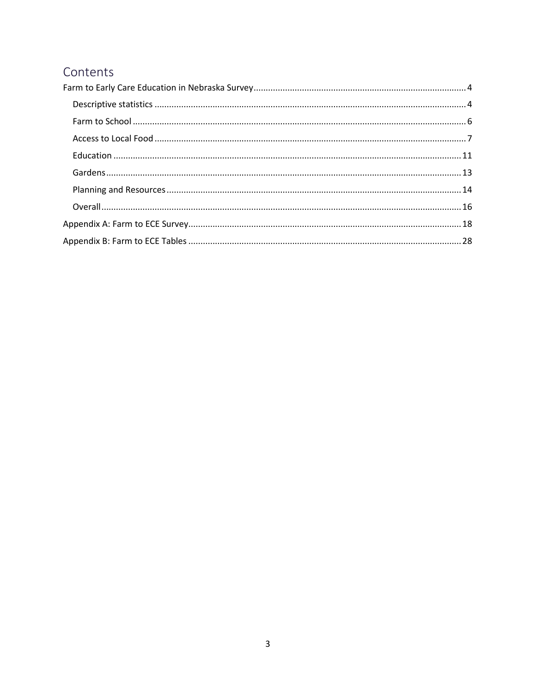# Contents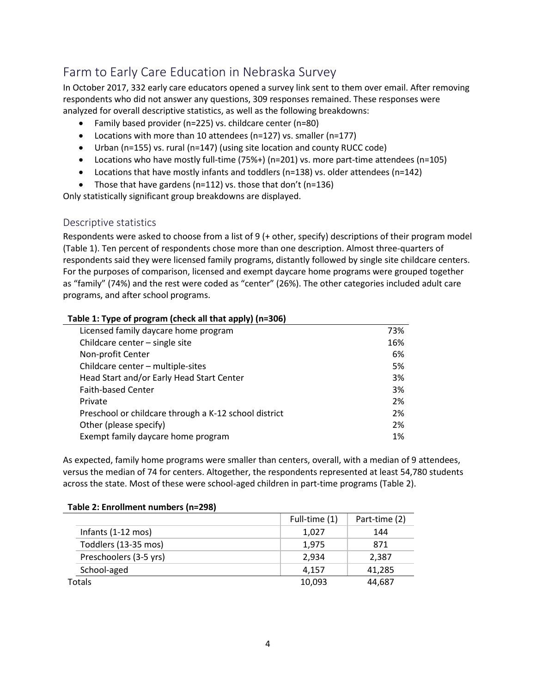# <span id="page-3-0"></span>Farm to Early Care Education in Nebraska Survey

In October 2017, 332 early care educators opened a survey link sent to them over email. After removing respondents who did not answer any questions, 309 responses remained. These responses were analyzed for overall descriptive statistics, as well as the following breakdowns:

- Family based provider (n=225) vs. childcare center (n=80)
- Locations with more than 10 attendees (n=127) vs. smaller (n=177)
- Urban (n=155) vs. rural (n=147) (using site location and county RUCC code)
- Locations who have mostly full-time (75%+) (n=201) vs. more part-time attendees (n=105)
- Locations that have mostly infants and toddlers (n=138) vs. older attendees (n=142)
- Those that have gardens ( $n=112$ ) vs. those that don't ( $n=136$ )

Only statistically significant group breakdowns are displayed.

### <span id="page-3-1"></span>Descriptive statistics

Respondents were asked to choose from a list of 9 (+ other, specify) descriptions of their program model (Table 1). Ten percent of respondents chose more than one description. Almost three-quarters of respondents said they were licensed family programs, distantly followed by single site childcare centers. For the purposes of comparison, licensed and exempt daycare home programs were grouped together as "family" (74%) and the rest were coded as "center" (26%). The other categories included adult care programs, and after school programs.

| Table 1: Type of program (check all that apply) (n=306) |     |
|---------------------------------------------------------|-----|
| Licensed family daycare home program                    | 73% |
| Childcare center - single site                          | 16% |
| Non-profit Center                                       | 6%  |
| Childcare center - multiple-sites                       | 5%  |
| Head Start and/or Early Head Start Center               | 3%  |
| <b>Faith-based Center</b>                               | 3%  |
| Private                                                 | 2%  |
| Preschool or childcare through a K-12 school district   | 2%  |
| Other (please specify)                                  | 2%  |
| Exempt family daycare home program                      | 1%  |

As expected, family home programs were smaller than centers, overall, with a median of 9 attendees, versus the median of 74 for centers. Altogether, the respondents represented at least 54,780 students across the state. Most of these were school-aged children in part-time programs (Table 2).

|                        | Full-time (1) | Part-time (2) |
|------------------------|---------------|---------------|
| Infants (1-12 mos)     | 1,027         | 144           |
| Toddlers (13-35 mos)   | 1.975         | 871           |
| Preschoolers (3-5 yrs) | 2.934         | 2,387         |
| School-aged            | 4.157         | 41,285        |
| Totals                 | 10,093        | 44,687        |

### **Table 2: Enrollment numbers (n=298)**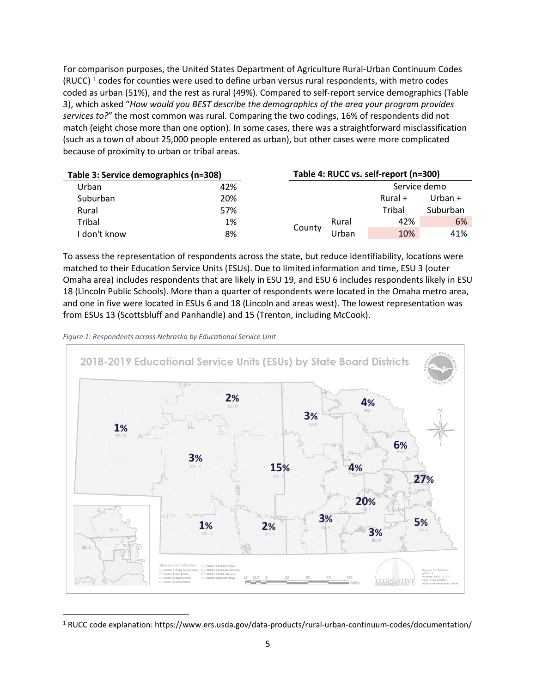For comparison purposes, the United States Department of Agriculture Rural-Urban Continuum Codes (RUCC)  $1$  codes for counties were used to define urban versus rural respondents, with metro codes coded as urban (51%), and the rest as rural (49%). Compared to self-report service demographics (Table 3), which asked "*How would you BEST describe the demographics of the area your program provides services to?*" the most common was rural. Comparing the two codings, 16% of respondents did not match (eight chose more than one option). In some cases, there was a straightforward misclassification (such as a town of about 25,000 people entered as urban), but other cases were more complicated because of proximity to urban or tribal areas.

| Table 3: Service demographics (n=308) |     |        |       | Table 4: RUCC vs. self-report (n=300) |           |
|---------------------------------------|-----|--------|-------|---------------------------------------|-----------|
| Urban                                 | 42% |        |       | Service demo                          |           |
| <b>Suburban</b>                       | 20% |        |       | Rural +                               | Urban $+$ |
| Rural                                 | 57% |        |       | Tribal                                | Suburban  |
| Tribal                                | 1%  | County | Rural | 42%                                   | 6%        |
| l don't know                          | 8%  |        | Jrban | 10%                                   | 41%       |

To assess the representation of respondents across the state, but reduce identifiability, locations were matched to their Education Service Units (ESUs). Due to limited information and time, ESU 3 (outer Omaha area) includes respondents that are likely in ESU 19, and ESU 6 includes respondents likely in ESU 18 (Lincoln Public Schools). More than a quarter of respondents were located in the Omaha metro area, and one in five were located in ESUs 6 and 18 (Lincoln and areas west). The lowest representation was from ESUs 13 (Scottsbluff and Panhandle) and 15 (Trenton, including McCook).





<span id="page-4-0"></span><sup>1</sup> RUCC code explanation: https://www.ers.usda.gov/data-products/rural-urban-continuum-codes/documentation/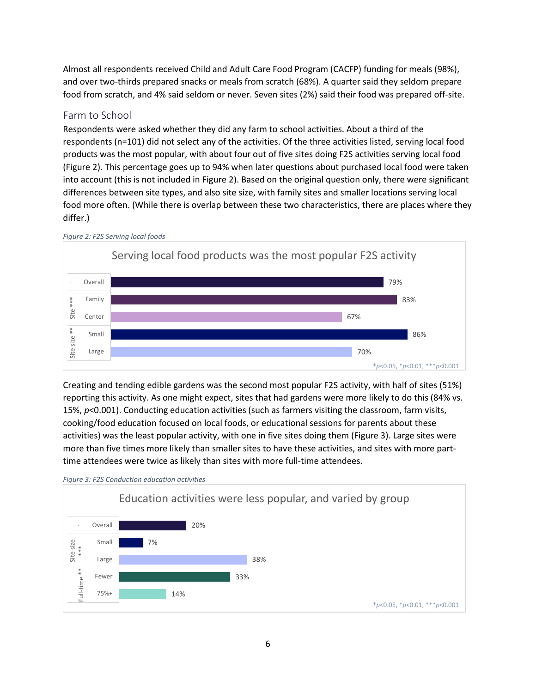Almost all respondents received Child and Adult Care Food Program (CACFP) funding for meals (98%), and over two-thirds prepared snacks or meals from scratch (68%). A quarter said they seldom prepare food from scratch, and 4% said seldom or never. Seven sites (2%) said their food was prepared off-site.

### <span id="page-5-0"></span>Farm to School

Respondents were asked whether they did any farm to school activities. About a third of the respondents (n=101) did not select any of the activities. Of the three activities listed, serving local food products was the most popular, with about four out of five sites doing F2S activities serving local food (Figure 2). This percentage goes up to 94% when later questions about purchased local food were taken into account (this is not included in Figure 2). Based on the original question only, there were significant differences between site types, and also site size, with family sites and smaller locations serving local food more often. (While there is overlap between these two characteristics, there are places where they differ.)



Creating and tending edible gardens was the second most popular F2S activity, with half of sites (51%) reporting this activity. As one might expect, sites that had gardens were more likely to do this (84% vs. 15%, *p*<0.001). Conducting education activities (such as farmers visiting the classroom, farm visits, cooking/food education focused on local foods, or educational sessions for parents about these activities) was the least popular activity, with one in five sites doing them (Figure 3). Large sites were more than five times more likely than smaller sites to have these activities, and sites with more parttime attendees were twice as likely than sites with more full-time attendees.



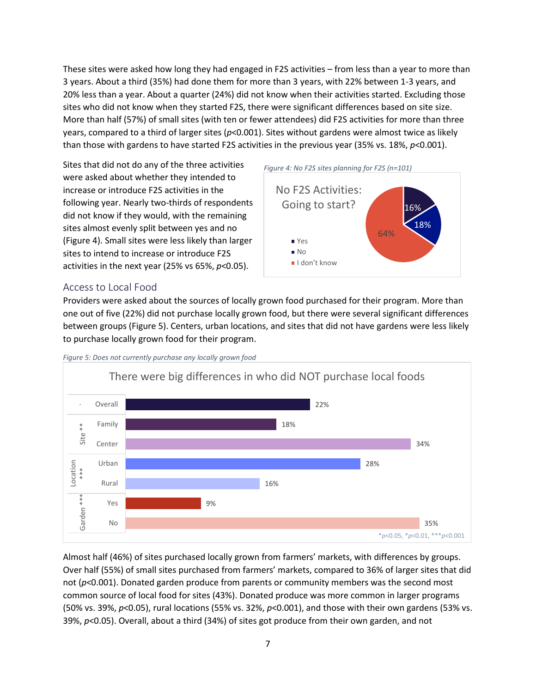These sites were asked how long they had engaged in F2S activities – from less than a year to more than 3 years. About a third (35%) had done them for more than 3 years, with 22% between 1-3 years, and 20% less than a year. About a quarter (24%) did not know when their activities started. Excluding those sites who did not know when they started F2S, there were significant differences based on site size. More than half (57%) of small sites (with ten or fewer attendees) did F2S activities for more than three years, compared to a third of larger sites (*p*<0.001). Sites without gardens were almost twice as likely than those with gardens to have started F2S activities in the previous year (35% vs. 18%, *p*<0.001).

Sites that did not do any of the three activities were asked about whether they intended to increase or introduce F2S activities in the following year. Nearly two-thirds of respondents did not know if they would, with the remaining sites almost evenly split between yes and no (Figure 4). Small sites were less likely than larger sites to intend to increase or introduce F2S activities in the next year (25% vs 65%, *p*<0.05).



### <span id="page-6-0"></span>Access to Local Food

Providers were asked about the sources of locally grown food purchased for their program. More than one out of five (22%) did not purchase locally grown food, but there were several significant differences between groups (Figure 5). Centers, urban locations, and sites that did not have gardens were less likely to purchase locally grown food for their program.

I don't know



*Figure 5: Does not currently purchase any locally grown food*

Almost half (46%) of sites purchased locally grown from farmers' markets, with differences by groups. Over half (55%) of small sites purchased from farmers' markets, compared to 36% of larger sites that did not (*p*<0.001). Donated garden produce from parents or community members was the second most common source of local food for sites (43%). Donated produce was more common in larger programs (50% vs. 39%, *p*<0.05), rural locations (55% vs. 32%, *p*<0.001), and those with their own gardens (53% vs. 39%, *p*<0.05). Overall, about a third (34%) of sites got produce from their own garden, and not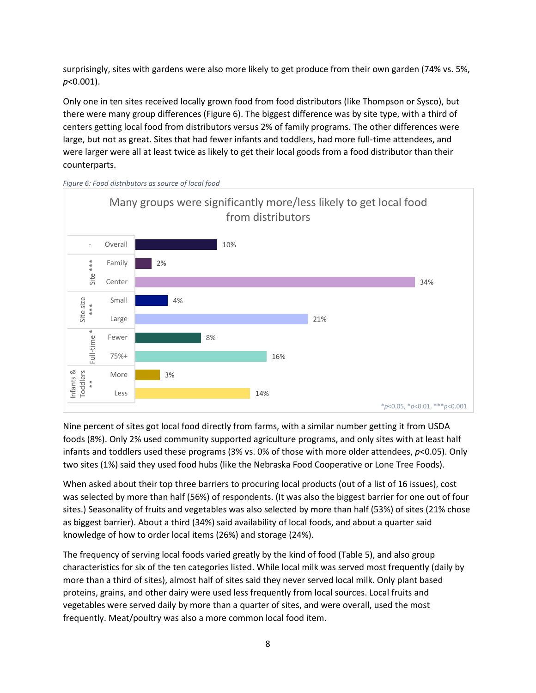surprisingly, sites with gardens were also more likely to get produce from their own garden (74% vs. 5%, *p*<0.001).

Only one in ten sites received locally grown food from food distributors (like Thompson or Sysco), but there were many group differences (Figure 6). The biggest difference was by site type, with a third of centers getting local food from distributors versus 2% of family programs. The other differences were large, but not as great. Sites that had fewer infants and toddlers, had more full-time attendees, and were larger were all at least twice as likely to get their local goods from a food distributor than their counterparts.



*Figure 6: Food distributors as source of local food*

Nine percent of sites got local food directly from farms, with a similar number getting it from USDA foods (8%). Only 2% used community supported agriculture programs, and only sites with at least half infants and toddlers used these programs (3% vs. 0% of those with more older attendees, *p*<0.05). Only two sites (1%) said they used food hubs (like the Nebraska Food Cooperative or Lone Tree Foods).

When asked about their top three barriers to procuring local products (out of a list of 16 issues), cost was selected by more than half (56%) of respondents. (It was also the biggest barrier for one out of four sites.) Seasonality of fruits and vegetables was also selected by more than half (53%) of sites (21% chose as biggest barrier). About a third (34%) said availability of local foods, and about a quarter said knowledge of how to order local items (26%) and storage (24%).

The frequency of serving local foods varied greatly by the kind of food (Table 5), and also group characteristics for six of the ten categories listed. While local milk was served most frequently (daily by more than a third of sites), almost half of sites said they never served local milk. Only plant based proteins, grains, and other dairy were used less frequently from local sources. Local fruits and vegetables were served daily by more than a quarter of sites, and were overall, used the most frequently. Meat/poultry was also a more common local food item.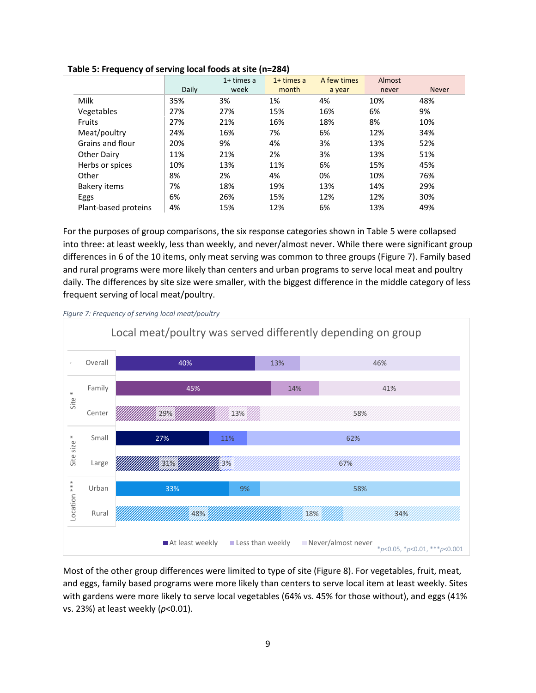|                      | -     | $1+$ times a | $1+$ times a | A few times | Almost |              |
|----------------------|-------|--------------|--------------|-------------|--------|--------------|
|                      | Daily | week         | month        | a year      | never  | <b>Never</b> |
| Milk                 | 35%   | 3%           | 1%           | 4%          | 10%    | 48%          |
| Vegetables           | 27%   | 27%          | 15%          | 16%         | 6%     | 9%           |
| Fruits               | 27%   | 21%          | 16%          | 18%         | 8%     | 10%          |
| Meat/poultry         | 24%   | 16%          | 7%           | 6%          | 12%    | 34%          |
| Grains and flour     | 20%   | 9%           | 4%           | 3%          | 13%    | 52%          |
| Other Dairy          | 11%   | 21%          | 2%           | 3%          | 13%    | 51%          |
| Herbs or spices      | 10%   | 13%          | 11%          | 6%          | 15%    | 45%          |
| Other                | 8%    | 2%           | 4%           | 0%          | 10%    | 76%          |
| Bakery items         | 7%    | 18%          | 19%          | 13%         | 14%    | 29%          |
| Eggs                 | 6%    | 26%          | 15%          | 12%         | 12%    | 30%          |
| Plant-based proteins | 4%    | 15%          | 12%          | 6%          | 13%    | 49%          |

**Table 5: Frequency of serving local foods at site (n=284)**

For the purposes of group comparisons, the six response categories shown in Table 5 were collapsed into three: at least weekly, less than weekly, and never/almost never. While there were significant group differences in 6 of the 10 items, only meat serving was common to three groups (Figure 7). Family based and rural programs were more likely than centers and urban programs to serve local meat and poultry daily. The differences by site size were smaller, with the biggest difference in the middle category of less frequent serving of local meat/poultry.



*Figure 7: Frequency of serving local meat/poultry*

Most of the other group differences were limited to type of site (Figure 8). For vegetables, fruit, meat, and eggs, family based programs were more likely than centers to serve local item at least weekly. Sites with gardens were more likely to serve local vegetables (64% vs. 45% for those without), and eggs (41% vs. 23%) at least weekly (*p*<0.01).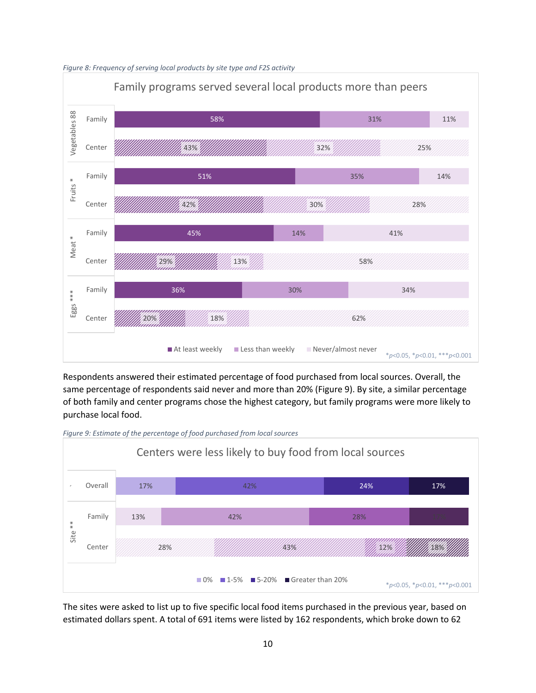*Figure 8: Frequency of serving local products by site type and F2S activity*



Respondents answered their estimated percentage of food purchased from local sources. Overall, the same percentage of respondents said never and more than 20% (Figure 9). By site, a similar percentage of both family and center programs chose the highest category, but family programs were more likely to purchase local food.



*Figure 9: Estimate of the percentage of food purchased from local sources*

The sites were asked to list up to five specific local food items purchased in the previous year, based on estimated dollars spent. A total of 691 items were listed by 162 respondents, which broke down to 62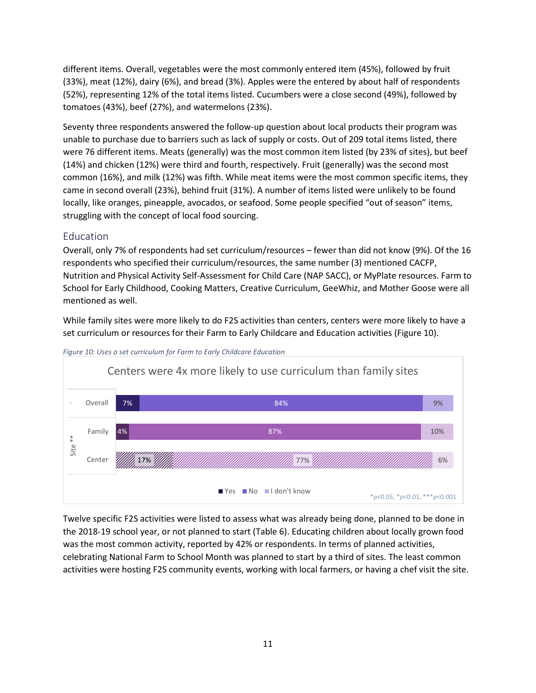different items. Overall, vegetables were the most commonly entered item (45%), followed by fruit (33%), meat (12%), dairy (6%), and bread (3%). Apples were the entered by about half of respondents (52%), representing 12% of the total items listed. Cucumbers were a close second (49%), followed by tomatoes (43%), beef (27%), and watermelons (23%).

Seventy three respondents answered the follow-up question about local products their program was unable to purchase due to barriers such as lack of supply or costs. Out of 209 total items listed, there were 76 different items. Meats (generally) was the most common item listed (by 23% of sites), but beef (14%) and chicken (12%) were third and fourth, respectively. Fruit (generally) was the second most common (16%), and milk (12%) was fifth. While meat items were the most common specific items, they came in second overall (23%), behind fruit (31%). A number of items listed were unlikely to be found locally, like oranges, pineapple, avocados, or seafood. Some people specified "out of season" items, struggling with the concept of local food sourcing.

### <span id="page-10-0"></span>Education

Overall, only 7% of respondents had set curriculum/resources – fewer than did not know (9%). Of the 16 respondents who specified their curriculum/resources, the same number (3) mentioned CACFP, Nutrition and Physical Activity Self-Assessment for Child Care (NAP SACC), or MyPlate resources. Farm to School for Early Childhood, Cooking Matters, Creative Curriculum, GeeWhiz, and Mother Goose were all mentioned as well.

While family sites were more likely to do F2S activities than centers, centers were more likely to have a set curriculum or resources for their Farm to Early Childcare and Education activities (Figure 10).





Twelve specific F2S activities were listed to assess what was already being done, planned to be done in the 2018-19 school year, or not planned to start (Table 6). Educating children about locally grown food was the most common activity, reported by 42% or respondents. In terms of planned activities, celebrating National Farm to School Month was planned to start by a third of sites. The least common activities were hosting F2S community events, working with local farmers, or having a chef visit the site.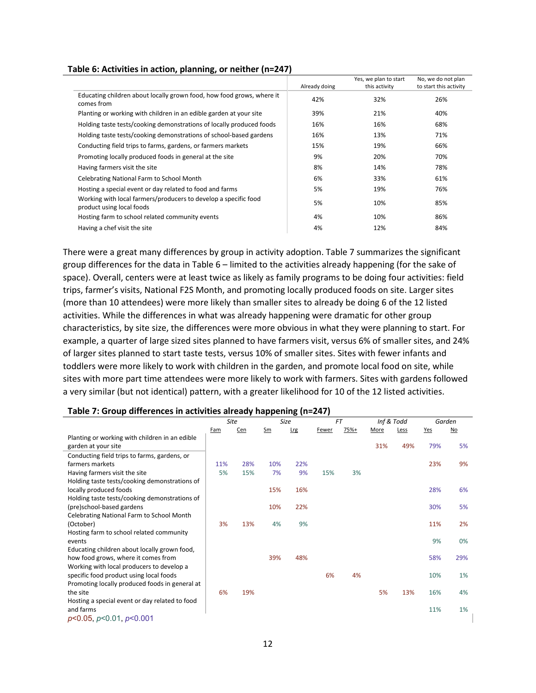|                                                                                              | Already doing | Yes, we plan to start<br>this activity | No, we do not plan<br>to start this activity |
|----------------------------------------------------------------------------------------------|---------------|----------------------------------------|----------------------------------------------|
| Educating children about locally grown food, how food grows, where it<br>comes from          | 42%           | 32%                                    | 26%                                          |
| Planting or working with children in an edible garden at your site                           | 39%           | 21%                                    | 40%                                          |
| Holding taste tests/cooking demonstrations of locally produced foods                         | 16%           | 16%                                    | 68%                                          |
| Holding taste tests/cooking demonstrations of school-based gardens                           | 16%           | 13%                                    | 71%                                          |
| Conducting field trips to farms, gardens, or farmers markets                                 | 15%           | 19%                                    | 66%                                          |
| Promoting locally produced foods in general at the site                                      | 9%            | 20%                                    | 70%                                          |
| Having farmers visit the site                                                                | 8%            | 14%                                    | 78%                                          |
| Celebrating National Farm to School Month                                                    | 6%            | 33%                                    | 61%                                          |
| Hosting a special event or day related to food and farms                                     | 5%            | 19%                                    | 76%                                          |
| Working with local farmers/producers to develop a specific food<br>product using local foods | 5%            | 10%                                    | 85%                                          |
| Hosting farm to school related community events                                              | 4%            | 10%                                    | 86%                                          |
| Having a chef visit the site                                                                 | 4%            | 12%                                    | 84%                                          |

### **Table 6: Activities in action, planning, or neither (n=247)**

There were a great many differences by group in activity adoption. Table 7 summarizes the significant group differences for the data in Table 6 – limited to the activities already happening (for the sake of space). Overall, centers were at least twice as likely as family programs to be doing four activities: field trips, farmer's visits, National F2S Month, and promoting locally produced foods on site. Larger sites (more than 10 attendees) were more likely than smaller sites to already be doing 6 of the 12 listed activities. While the differences in what was already happening were dramatic for other group characteristics, by site size, the differences were more obvious in what they were planning to start. For example, a quarter of large sized sites planned to have farmers visit, versus 6% of smaller sites, and 24% of larger sites planned to start taste tests, versus 10% of smaller sites. Sites with fewer infants and toddlers were more likely to work with children in the garden, and promote local food on site, while sites with more part time attendees were more likely to work with farmers. Sites with gardens followed a very similar (but not identical) pattern, with a greater likelihood for 10 of the 12 listed activities.

### **Table 7: Group differences in activities already happening (n=247)**

|                                                |     | Site |     | Size       | <b>FT</b> |      | Inf & Todd  |      |     | Garden |
|------------------------------------------------|-----|------|-----|------------|-----------|------|-------------|------|-----|--------|
|                                                | Fam | Cen  | Sm  | <b>Lrg</b> | Fewer     | 75%+ | <b>More</b> | Less | Yes | $No$   |
| Planting or working with children in an edible |     |      |     |            |           |      |             |      |     |        |
| garden at your site                            |     |      |     |            |           |      | 31%         | 49%  | 79% | 5%     |
| Conducting field trips to farms, gardens, or   |     |      |     |            |           |      |             |      |     |        |
| farmers markets                                | 11% | 28%  | 10% | 22%        |           |      |             |      | 23% | 9%     |
| Having farmers visit the site                  | 5%  | 15%  | 7%  | 9%         | 15%       | 3%   |             |      |     |        |
| Holding taste tests/cooking demonstrations of  |     |      |     |            |           |      |             |      |     |        |
| locally produced foods                         |     |      | 15% | 16%        |           |      |             |      | 28% | 6%     |
| Holding taste tests/cooking demonstrations of  |     |      |     |            |           |      |             |      |     |        |
| (pre)school-based gardens                      |     |      | 10% | 22%        |           |      |             |      | 30% | 5%     |
| Celebrating National Farm to School Month      |     |      |     |            |           |      |             |      |     |        |
| (October)                                      | 3%  | 13%  | 4%  | 9%         |           |      |             |      | 11% | 2%     |
| Hosting farm to school related community       |     |      |     |            |           |      |             |      |     |        |
| events                                         |     |      |     |            |           |      |             |      | 9%  | 0%     |
| Educating children about locally grown food,   |     |      |     |            |           |      |             |      |     |        |
| how food grows, where it comes from            |     |      | 39% | 48%        |           |      |             |      | 58% | 29%    |
| Working with local producers to develop a      |     |      |     |            |           |      |             |      |     |        |
| specific food product using local foods        |     |      |     |            | 6%        | 4%   |             |      | 10% | 1%     |
| Promoting locally produced foods in general at |     |      |     |            |           |      |             |      |     |        |
| the site                                       | 6%  | 19%  |     |            |           |      | 5%          | 13%  | 16% | 4%     |
| Hosting a special event or day related to food |     |      |     |            |           |      |             |      |     |        |
| and farms                                      |     |      |     |            |           |      |             |      | 11% | 1%     |
| $p<0.05$ , $p<0.01$ , $p<0.001$                |     |      |     |            |           |      |             |      |     |        |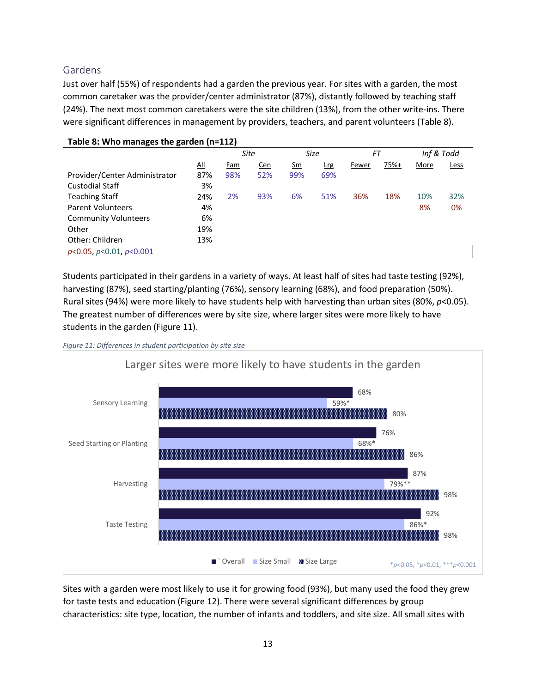### <span id="page-12-0"></span>Gardens

Just over half (55%) of respondents had a garden the previous year. For sites with a garden, the most common caretaker was the provider/center administrator (87%), distantly followed by teaching staff (24%). The next most common caretakers were the site children (13%), from the other write-ins. There were significant differences in management by providers, teachers, and parent volunteers (Table 8).

| Table 8: Who manages the garden (n=112) |     |     |            |               |             |       |      |      |            |
|-----------------------------------------|-----|-----|------------|---------------|-------------|-------|------|------|------------|
|                                         |     |     | Site       |               | <b>Size</b> | FT    |      |      | Inf & Todd |
|                                         | All | Fam | <u>Cen</u> | $\mathsf{Sm}$ | <u>Lrg</u>  | Fewer | 75%+ | More | Less       |
| Provider/Center Administrator           | 87% | 98% | 52%        | 99%           | 69%         |       |      |      |            |
| <b>Custodial Staff</b>                  | 3%  |     |            |               |             |       |      |      |            |
| <b>Teaching Staff</b>                   | 24% | 2%  | 93%        | 6%            | 51%         | 36%   | 18%  | 10%  | 32%        |
| <b>Parent Volunteers</b>                | 4%  |     |            |               |             |       |      | 8%   | 0%         |
| <b>Community Volunteers</b>             | 6%  |     |            |               |             |       |      |      |            |
| Other                                   | 19% |     |            |               |             |       |      |      |            |
| Other: Children                         | 13% |     |            |               |             |       |      |      |            |
| $p<0.05$ , $p<0.01$ , $p<0.001$         |     |     |            |               |             |       |      |      |            |

Students participated in their gardens in a variety of ways. At least half of sites had taste testing (92%), harvesting (87%), seed starting/planting (76%), sensory learning (68%), and food preparation (50%). Rural sites (94%) were more likely to have students help with harvesting than urban sites (80%, *p*<0.05). The greatest number of differences were by site size, where larger sites were more likely to have students in the garden (Figure 11).

*Figure 11: Differences in student participation by site size*



Sites with a garden were most likely to use it for growing food (93%), but many used the food they grew for taste tests and education (Figure 12). There were several significant differences by group characteristics: site type, location, the number of infants and toddlers, and site size. All small sites with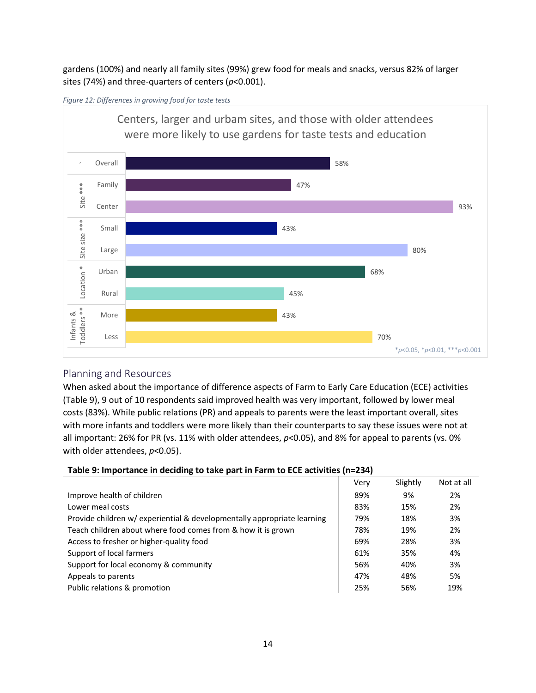gardens (100%) and nearly all family sites (99%) grew food for meals and snacks, versus 82% of larger sites (74%) and three-quarters of centers (*p*<0.001).





### <span id="page-13-0"></span>Planning and Resources

When asked about the importance of difference aspects of Farm to Early Care Education (ECE) activities (Table 9), 9 out of 10 respondents said improved health was very important, followed by lower meal costs (83%). While public relations (PR) and appeals to parents were the least important overall, sites with more infants and toddlers were more likely than their counterparts to say these issues were not at all important: 26% for PR (vs. 11% with older attendees, *p*<0.05), and 8% for appeal to parents (vs. 0% with older attendees, *p*<0.05).

| Table 9: Importance in deciding to take part in Farm to ECE activities (n=234) |  |
|--------------------------------------------------------------------------------|--|
|                                                                                |  |

|                                                                         | Very | Slightly | Not at all |
|-------------------------------------------------------------------------|------|----------|------------|
| Improve health of children                                              | 89%  | 9%       | 2%         |
| Lower meal costs                                                        | 83%  | 15%      | 2%         |
| Provide children w/ experiential & developmentally appropriate learning | 79%  | 18%      | 3%         |
| Teach children about where food comes from & how it is grown            | 78%  | 19%      | 2%         |
| Access to fresher or higher-quality food                                | 69%  | 28%      | 3%         |
| Support of local farmers                                                | 61%  | 35%      | 4%         |
| Support for local economy & community                                   | 56%  | 40%      | 3%         |
| Appeals to parents                                                      | 47%  | 48%      | 5%         |
| Public relations & promotion                                            | 25%  | 56%      | 19%        |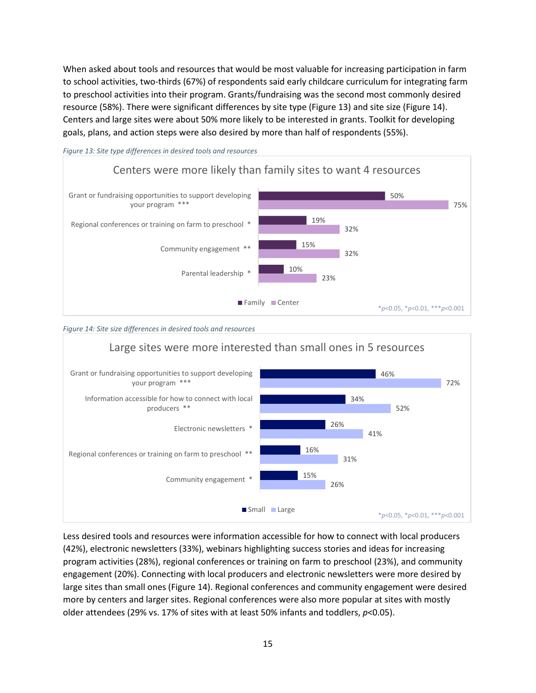When asked about tools and resources that would be most valuable for increasing participation in farm to school activities, two-thirds (67%) of respondents said early childcare curriculum for integrating farm to preschool activities into their program. Grants/fundraising was the second most commonly desired resource (58%). There were significant differences by site type (Figure 13) and site size (Figure 14). Centers and large sites were about 50% more likely to be interested in grants. Toolkit for developing goals, plans, and action steps were also desired by more than half of respondents (55%).



*Figure 13: Site type differences in desired tools and resources*





Less desired tools and resources were information accessible for how to connect with local producers (42%), electronic newsletters (33%), webinars highlighting success stories and ideas for increasing program activities (28%), regional conferences or training on farm to preschool (23%), and community engagement (20%). Connecting with local producers and electronic newsletters were more desired by large sites than small ones (Figure 14). Regional conferences and community engagement were desired more by centers and larger sites. Regional conferences were also more popular at sites with mostly older attendees (29% vs. 17% of sites with at least 50% infants and toddlers, *p*<0.05).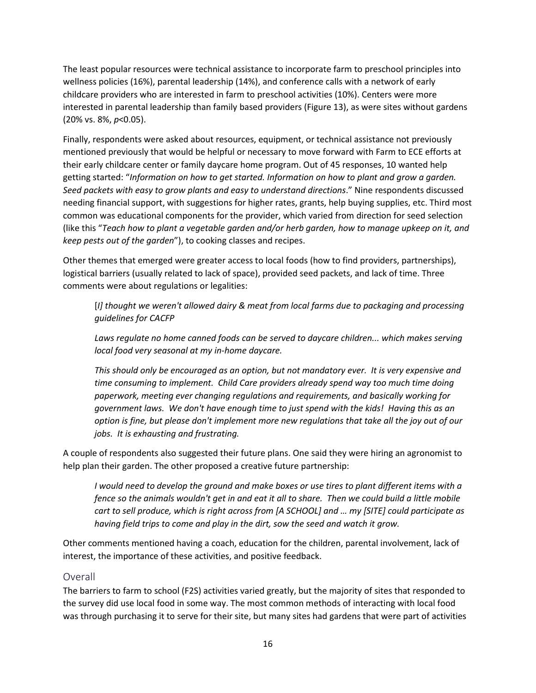The least popular resources were technical assistance to incorporate farm to preschool principles into wellness policies (16%), parental leadership (14%), and conference calls with a network of early childcare providers who are interested in farm to preschool activities (10%). Centers were more interested in parental leadership than family based providers (Figure 13), as were sites without gardens (20% vs. 8%, *p*<0.05).

Finally, respondents were asked about resources, equipment, or technical assistance not previously mentioned previously that would be helpful or necessary to move forward with Farm to ECE efforts at their early childcare center or family daycare home program. Out of 45 responses, 10 wanted help getting started: "*Information on how to get started. Information on how to plant and grow a garden. Seed packets with easy to grow plants and easy to understand directions*." Nine respondents discussed needing financial support, with suggestions for higher rates, grants, help buying supplies, etc. Third most common was educational components for the provider, which varied from direction for seed selection (like this "*Teach how to plant a vegetable garden and/or herb garden, how to manage upkeep on it, and keep pests out of the garden*"), to cooking classes and recipes.

Other themes that emerged were greater access to local foods (how to find providers, partnerships), logistical barriers (usually related to lack of space), provided seed packets, and lack of time. Three comments were about regulations or legalities:

[*I] thought we weren't allowed dairy & meat from local farms due to packaging and processing guidelines for CACFP*

Laws regulate no home canned foods can be served to daycare children... which makes serving *local food very seasonal at my in-home daycare.*

*This should only be encouraged as an option, but not mandatory ever. It is very expensive and time consuming to implement. Child Care providers already spend way too much time doing paperwork, meeting ever changing regulations and requirements, and basically working for government laws. We don't have enough time to just spend with the kids! Having this as an option is fine, but please don't implement more new regulations that take all the joy out of our jobs. It is exhausting and frustrating.*

A couple of respondents also suggested their future plans. One said they were hiring an agronomist to help plan their garden. The other proposed a creative future partnership:

*I would need to develop the ground and make boxes or use tires to plant different items with a fence so the animals wouldn't get in and eat it all to share. Then we could build a little mobile cart to sell produce, which is right across from [A SCHOOL] and … my [SITE] could participate as having field trips to come and play in the dirt, sow the seed and watch it grow.* 

Other comments mentioned having a coach, education for the children, parental involvement, lack of interest, the importance of these activities, and positive feedback.

### <span id="page-15-0"></span>Overall

The barriers to farm to school (F2S) activities varied greatly, but the majority of sites that responded to the survey did use local food in some way. The most common methods of interacting with local food was through purchasing it to serve for their site, but many sites had gardens that were part of activities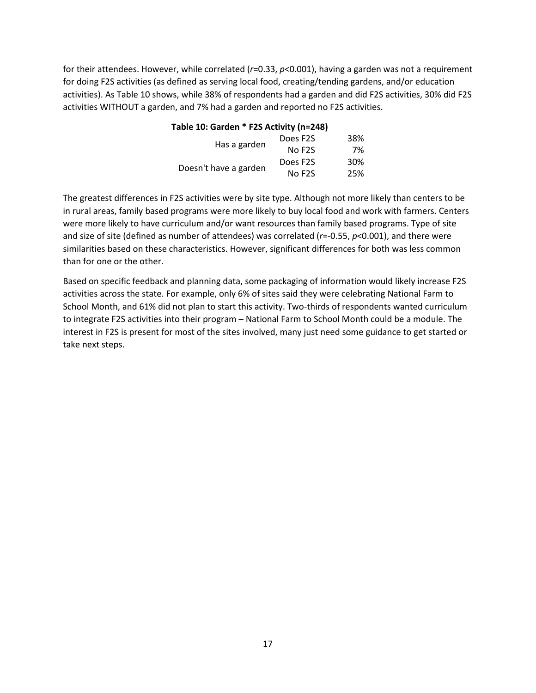for their attendees. However, while correlated (*r*=0.33, *p*<0.001), having a garden was not a requirement for doing F2S activities (as defined as serving local food, creating/tending gardens, and/or education activities). As Table 10 shows, while 38% of respondents had a garden and did F2S activities, 30% did F2S activities WITHOUT a garden, and 7% had a garden and reported no F2S activities.

| Table 10: Garden * F2S Activity (n=248) |                     |     |  |
|-----------------------------------------|---------------------|-----|--|
| Has a garden                            | Does F2S            | 38% |  |
|                                         | No F <sub>2</sub> S | 7%  |  |
| Doesn't have a garden                   | Does F2S            | 30% |  |
|                                         | No F <sub>2</sub> S | 25% |  |

The greatest differences in F2S activities were by site type. Although not more likely than centers to be in rural areas, family based programs were more likely to buy local food and work with farmers. Centers were more likely to have curriculum and/or want resources than family based programs. Type of site and size of site (defined as number of attendees) was correlated (*r*=-0.55, *p*<0.001), and there were similarities based on these characteristics. However, significant differences for both was less common than for one or the other.

Based on specific feedback and planning data, some packaging of information would likely increase F2S activities across the state. For example, only 6% of sites said they were celebrating National Farm to School Month, and 61% did not plan to start this activity. Two-thirds of respondents wanted curriculum to integrate F2S activities into their program – National Farm to School Month could be a module. The interest in F2S is present for most of the sites involved, many just need some guidance to get started or take next steps.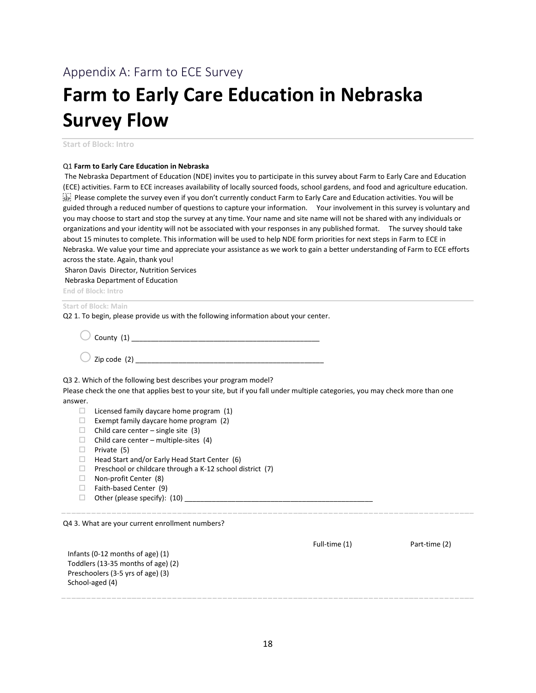## <span id="page-17-0"></span>Appendix A: Farm to ECE Survey

# **Farm to Early Care Education in Nebraska Survey Flow**

**Start of Block: Intro**

### Q1 **Farm to Early Care Education in Nebraska**

The Nebraska Department of Education (NDE) invites you to participate in this survey about Farm to Early Care and Education (ECE) activities. Farm to ECE increases availability of locally sourced foods, school gardens, and food and agriculture education. Please complete the survey even if you don't currently conduct Farm to Early Care and Education activities. You will be guided through a reduced number of questions to capture your information. Your involvement in this survey is voluntary and you may choose to start and stop the survey at any time. Your name and site name will not be shared with any individuals or organizations and your identity will not be associated with your responses in any published format. The survey should take about 15 minutes to complete. This information will be used to help NDE form priorities for next steps in Farm to ECE in Nebraska. We value your time and appreciate your assistance as we work to gain a better understanding of Farm to ECE efforts across the state. Again, thank you!

Sharon Davis Director, Nutrition Services

Nebraska Department of Education

**End of Block: Intro**

### **Start of Block: Main**

Q2 1. To begin, please provide us with the following information about your center.

 $\bigcirc$  County (1)

 $\sum$  zip code (2)

Q3 2. Which of the following best describes your program model?

Please check the one that applies best to your site, but if you fall under multiple categories, you may check more than one answer.

- $\Box$  Licensed family daycare home program (1)
- $\Box$  Exempt family daycare home program (2)
- $\Box$  Child care center single site (3)
- $\Box$  Child care center multiple-sites (4)
- $\Box$  Private (5)
- $\Box$  Head Start and/or Early Head Start Center (6)
- $\Box$  Preschool or childcare through a K-12 school district (7)
- $\Box$  Non-profit Center (8)
- $\Box$  Faith-based Center (9)
- Other (please specify): (10) \_\_\_\_\_\_\_\_\_\_\_\_\_\_\_\_\_\_\_\_\_\_\_\_\_\_\_\_\_\_\_\_\_\_\_\_\_\_\_\_\_\_\_\_\_\_\_\_

Q4 3. What are your current enrollment numbers?

|                                    | Full-time (1) | Part-time (2) |
|------------------------------------|---------------|---------------|
| Infants (0-12 months of age) $(1)$ |               |               |
| Toddlers (13-35 months of age) (2) |               |               |
| Preschoolers (3-5 yrs of age) (3)  |               |               |
| School-aged (4)                    |               |               |
|                                    |               |               |
|                                    |               |               |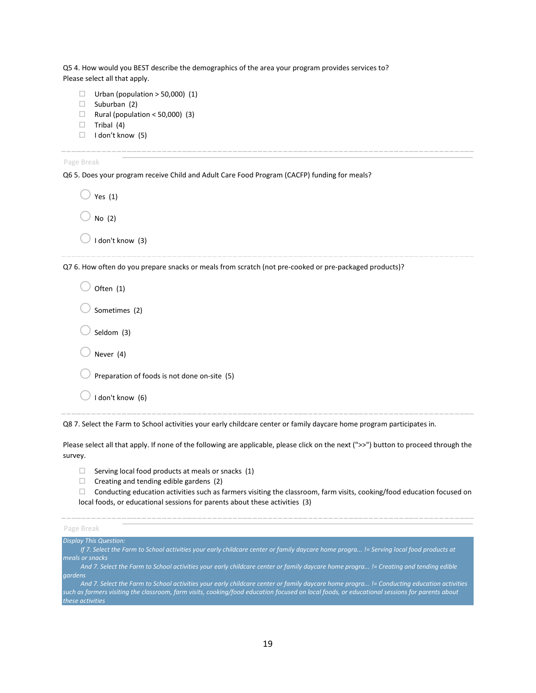Q5 4. How would you BEST describe the demographics of the area your program provides services to? Please select all that apply.

- $\Box$  Urban (population > 50,000) (1)
- $\Box$  Suburban (2)
- $\Box$  Rural (population < 50,000) (3)
- $\Box$  Tribal (4)
- $\Box$  I don't know (5)

Page Break

Q6 5. Does your program receive Child and Adult Care Food Program (CACFP) funding for meals?

| Yes $(1)$        |  |
|------------------|--|
| No $(2)$         |  |
| I don't know (3) |  |

Q7 6. How often do you prepare snacks or meals from scratch (not pre-cooked or pre-packaged products)?

| Often (1)                                    |  |
|----------------------------------------------|--|
| Sometimes (2)                                |  |
| Seldom (3)                                   |  |
| Never (4)                                    |  |
| Preparation of foods is not done on-site (5) |  |
| I don't know (6)                             |  |

Q8 7. Select the Farm to School activities your early childcare center or family daycare home program participates in.

Please select all that apply. If none of the following are applicable, please click on the next (">>") button to proceed through the survey.

- $\Box$  Serving local food products at meals or snacks (1)
- $\Box$  Creating and tending edible gardens (2)
- $\Box$  Conducting education activities such as farmers visiting the classroom, farm visits, cooking/food education focused on local foods, or educational sessions for parents about these activities (3)

| Page Break             |                                                                            |
|------------------------|----------------------------------------------------------------------------|
| Display This Question: |                                                                            |
|                        | If 7 Coloet the Earne to Cebool settivities your early objidence conter or |

- *If 7. Select the Farm to School activities your early childcare center or family daycare home progra... != Serving local food products at meals or snacks*
- *And 7. Select the Farm to School activities your early childcare center or family daycare home progra... != Creating and tending edible gardens*

*And 7. Select the Farm to School activities your early childcare center or family daycare home progra... != Conducting education activities such as farmers visiting the classroom, farm visits, cooking/food education focused on local foods, or educational sessions for parents about these activities*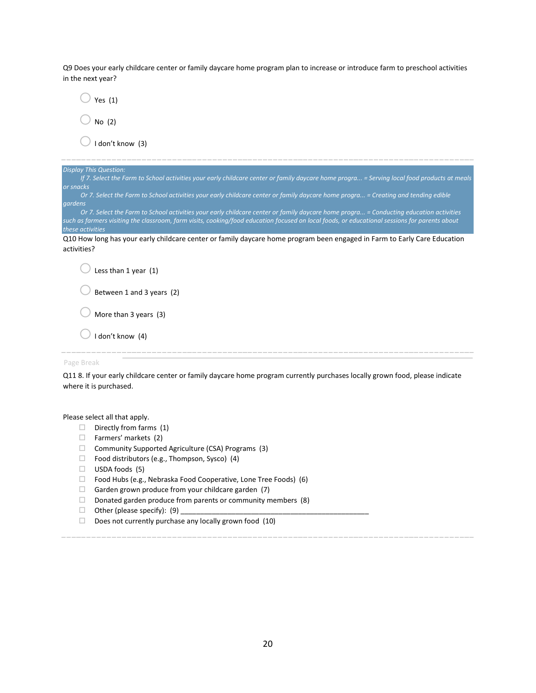Q9 Does your early childcare center or family daycare home program plan to increase or introduce farm to preschool activities in the next year?

| Yes $(1)$                                                                                                                                                                                                                                                                                                   |
|-------------------------------------------------------------------------------------------------------------------------------------------------------------------------------------------------------------------------------------------------------------------------------------------------------------|
| No $(2)$                                                                                                                                                                                                                                                                                                    |
| I don't know (3)                                                                                                                                                                                                                                                                                            |
| <b>Display This Question:</b><br>If 7. Select the Farm to School activities your early childcare center or family daycare home progra = Serving local food products at meals                                                                                                                                |
| or snacks<br>Or 7. Select the Farm to School activities your early childcare center or family daycare home progra = Creating and tending edible<br>gardens                                                                                                                                                  |
| Or 7. Select the Farm to School activities your early childcare center or family daycare home progra = Conducting education activities<br>such as farmers visiting the classroom, farm visits, cooking/food education focused on local foods, or educational sessions for parents about<br>these activities |
| Q10 How long has your early childcare center or family daycare home program been engaged in Farm to Early Care Education<br>activities?                                                                                                                                                                     |
| Less than 1 year (1)                                                                                                                                                                                                                                                                                        |
| Between 1 and 3 years (2)                                                                                                                                                                                                                                                                                   |
| More than 3 years (3)                                                                                                                                                                                                                                                                                       |
| I don't know (4)                                                                                                                                                                                                                                                                                            |
| Page Break                                                                                                                                                                                                                                                                                                  |
| Q11 8. If your early childcare center or family daycare home program currently purchases locally grown food, please indicate                                                                                                                                                                                |

Please select all that apply.

where it is purchased.

- $\Box$  Directly from farms (1)
- $\Box$  Farmers' markets (2)
- $\Box$  Community Supported Agriculture (CSA) Programs (3)
- $\Box$  Food distributors (e.g., Thompson, Sysco) (4)
- $\Box$  USDA foods (5)
- $\Box$  Food Hubs (e.g., Nebraska Food Cooperative, Lone Tree Foods) (6)
- $\Box$  Garden grown produce from your childcare garden (7)
- $\Box$  Donated garden produce from parents or community members (8)
- $\Box$  Other (please specify): (9)
- $\Box$  Does not currently purchase any locally grown food (10)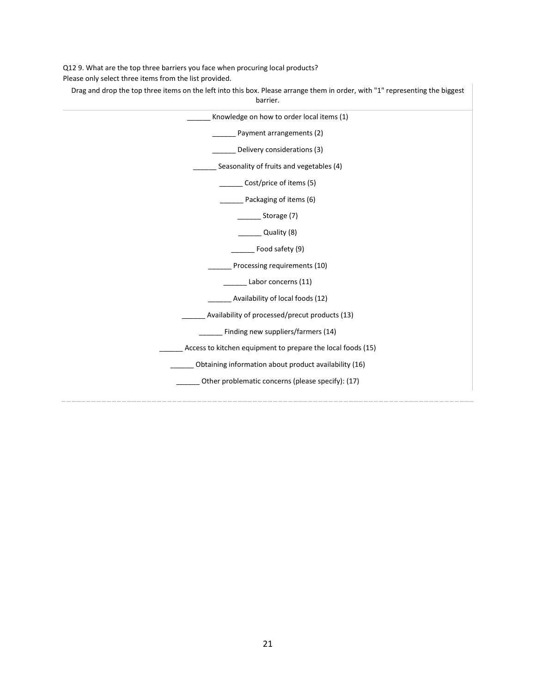Q12 9. What are the top three barriers you face when procuring local products? Please only select three items from the list provided.

| Drag and drop the top three items on the left into this box. Please arrange them in order, with "1" representing the biggest<br>barrier. |  |
|------------------------------------------------------------------------------------------------------------------------------------------|--|
| Knowledge on how to order local items (1)                                                                                                |  |
| Payment arrangements (2)                                                                                                                 |  |
| Delivery considerations (3)                                                                                                              |  |
| Seasonality of fruits and vegetables (4)                                                                                                 |  |
| Cost/price of items (5)                                                                                                                  |  |
| Packaging of items (6)                                                                                                                   |  |
| _Storage(7)                                                                                                                              |  |
| Quality (8)                                                                                                                              |  |
| Food safety (9)                                                                                                                          |  |
| Processing requirements (10)                                                                                                             |  |
| Labor concerns (11)                                                                                                                      |  |
| Availability of local foods (12)                                                                                                         |  |
| Availability of processed/precut products (13)                                                                                           |  |
| Finding new suppliers/farmers (14)                                                                                                       |  |
| Access to kitchen equipment to prepare the local foods (15)                                                                              |  |
| Obtaining information about product availability (16)                                                                                    |  |
| Other problematic concerns (please specify): (17)                                                                                        |  |
|                                                                                                                                          |  |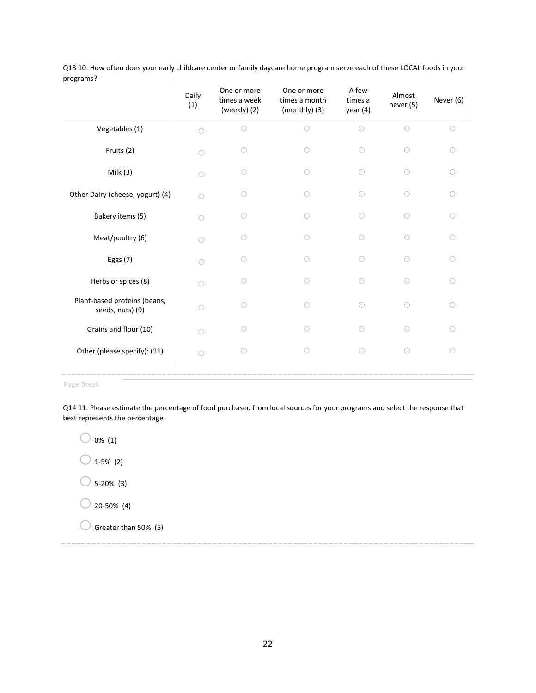| Q13 10. How often does your early childcare center or family daycare home program serve each of these LOCAL foods in your |  |
|---------------------------------------------------------------------------------------------------------------------------|--|
| programs?                                                                                                                 |  |

| - o <sup>. ……</sup>                              | Daily<br>(1) | One or more<br>times a week<br>(weekly) (2) | One or more<br>times a month<br>(monthly) (3) | A few<br>times a<br>year(4) | Almost<br>never (5) | Never (6)  |
|--------------------------------------------------|--------------|---------------------------------------------|-----------------------------------------------|-----------------------------|---------------------|------------|
| Vegetables (1)                                   | $\bigcirc$   | $\bigcirc$                                  | $\bigcirc$                                    | $\bigcirc$                  | $\bigcirc$          | $\circ$    |
| Fruits (2)                                       |              | $\bigcirc$                                  | ∩                                             | $\bigcirc$                  | $\bigcirc$          | $\circ$    |
| Milk $(3)$                                       | ∩            | ∩                                           | ∩                                             | $\bigcirc$                  | $\bigcirc$          | $\circ$    |
| Other Dairy (cheese, yogurt) (4)                 | $\bigcap$    | ∩                                           | ∩                                             | $\bigcap$                   | $\bigcirc$          | $\circ$    |
| Bakery items (5)                                 | $\bigcap$    | $\bigcirc$                                  |                                               | ∩                           | $\bigcirc$          | $\circ$    |
| Meat/poultry (6)                                 | ∩            | ∩                                           |                                               | ∩                           | ∩                   | $\bigcirc$ |
| Eggs (7)                                         | ∩            | ∩                                           | ∩                                             | $\bigcirc$                  | $\bigcirc$          | $\bigcirc$ |
| Herbs or spices (8)                              | $\bigcap$    |                                             | Ω                                             | ∩                           | ∩                   | $\circ$    |
| Plant-based proteins (beans,<br>seeds, nuts) (9) | $\bigcap$    | ∩                                           | ∩                                             | ∩                           | ∩                   | $\circ$    |
| Grains and flour (10)                            | $\bigcap$    | ∩                                           | ∩                                             | ∩                           | ∩                   | $\bigcirc$ |
| Other (please specify): (11)                     | $\bigcap$    | ∩                                           | ∩                                             | $\bigcirc$                  | ∩                   | $\circ$    |
|                                                  |              |                                             |                                               |                             |                     |            |

Page Break

Q14 11. Please estimate the percentage of food purchased from local sources for your programs and select the response that best represents the percentage.

 $\bigcirc$  0% (1)  $\bigcirc$  1-5% (2)  $\bigcirc$  5-20% (3)  $\bigcirc$  20-50% (4)  $\bigcirc$  Greater than 50% (5)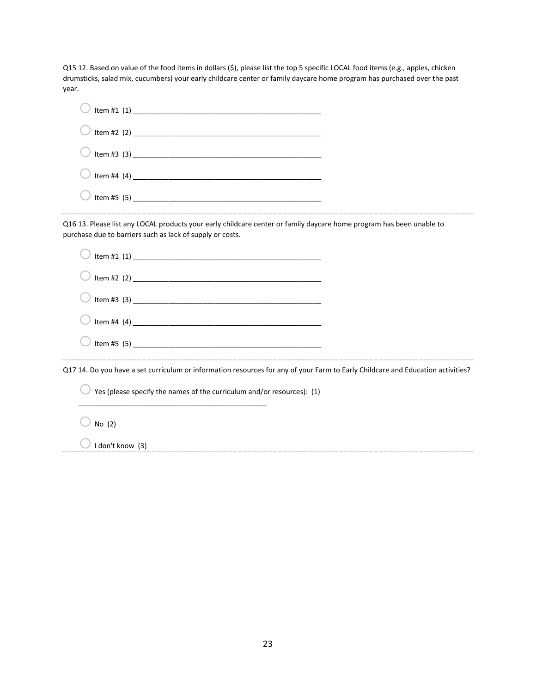Q15 12. Based on value of the food items in dollars (\$), please list the top 5 specific LOCAL food items (e.g., apples, chicken drumsticks, salad mix, cucumbers) your early childcare center or family daycare home program has purchased over the past year.

| Q16 13. Please list any LOCAL products your early childcare center or family daycare home program has been unable to<br>purchase due to barriers such as lack of supply or costs. |  |
|-----------------------------------------------------------------------------------------------------------------------------------------------------------------------------------|--|
|                                                                                                                                                                                   |  |
|                                                                                                                                                                                   |  |
|                                                                                                                                                                                   |  |
|                                                                                                                                                                                   |  |
|                                                                                                                                                                                   |  |
| Q17 14. Do you have a set curriculum or information resources for any of your Farm to Early Childcare and Education activities?                                                   |  |
| Yes (please specify the names of the curriculum and/or resources): (1)                                                                                                            |  |
| No $(2)$                                                                                                                                                                          |  |
| I don't know (3)                                                                                                                                                                  |  |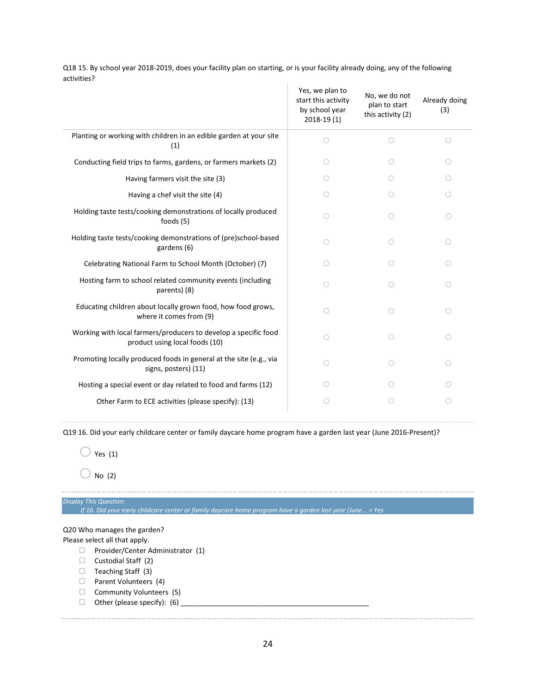Q18 15. By school year 2018-2019, does your facility plan on starting, or is your facility already doing, any of the following activities?

|                                                                                                   | Yes, we plan to<br>start this activity<br>by school year<br>$2018-19(1)$ | No, we do not<br>plan to start<br>this activity (2) | Already doing<br>(3) |
|---------------------------------------------------------------------------------------------------|--------------------------------------------------------------------------|-----------------------------------------------------|----------------------|
| Planting or working with children in an edible garden at your site<br>(1)                         | ∩                                                                        | ∩                                                   | ∩                    |
| Conducting field trips to farms, gardens, or farmers markets (2)                                  | ( )                                                                      | ◯                                                   |                      |
| Having farmers visit the site (3)                                                                 | $\left(\begin{array}{c} \end{array}\right)$                              | ◯                                                   |                      |
| Having a chef visit the site (4)                                                                  | ∩                                                                        | ∩                                                   | O                    |
| Holding taste tests/cooking demonstrations of locally produced<br>foods $(5)$                     | ∩                                                                        | ∩                                                   | O                    |
| Holding taste tests/cooking demonstrations of (pre)school-based<br>gardens (6)                    | ∩                                                                        | ∩                                                   | O                    |
| Celebrating National Farm to School Month (October) (7)                                           | ◯                                                                        | ∩                                                   |                      |
| Hosting farm to school related community events (including<br>parents) (8)                        | ∩                                                                        | ∩                                                   | 0                    |
| Educating children about locally grown food, how food grows,<br>where it comes from (9)           | ∩                                                                        | ∩                                                   | O                    |
| Working with local farmers/producers to develop a specific food<br>product using local foods (10) | ∩                                                                        | ∩                                                   | ∩                    |
| Promoting locally produced foods in general at the site (e.g., via<br>signs, posters) (11)        | ◯                                                                        | ∩                                                   | ∩                    |
| Hosting a special event or day related to food and farms (12)                                     | 0                                                                        |                                                     |                      |
| Other Farm to ECE activities (please specify): (13)                                               | ◯                                                                        | ∩                                                   |                      |
|                                                                                                   |                                                                          |                                                     |                      |

Q19 16. Did your early childcare center or family daycare home program have a garden last year (June 2016-Present)?

 $\bigcirc$  Yes (1)

 $\bigcirc$  No (2)

*Display This Question:*

*If 16. Did your early childcare center or family daycare home program have a garden last year (June... = Yes*

### Q20 Who manages the garden?

Please select all that apply.

- $\Box$  Provider/Center Administrator (1)
- $\Box$  Custodial Staff (2)
- $\Box$  Teaching Staff (3)
- $\Box$  Parent Volunteers (4)
- $\Box$  Community Volunteers (5)
- $\Box$  Other (please specify): (6)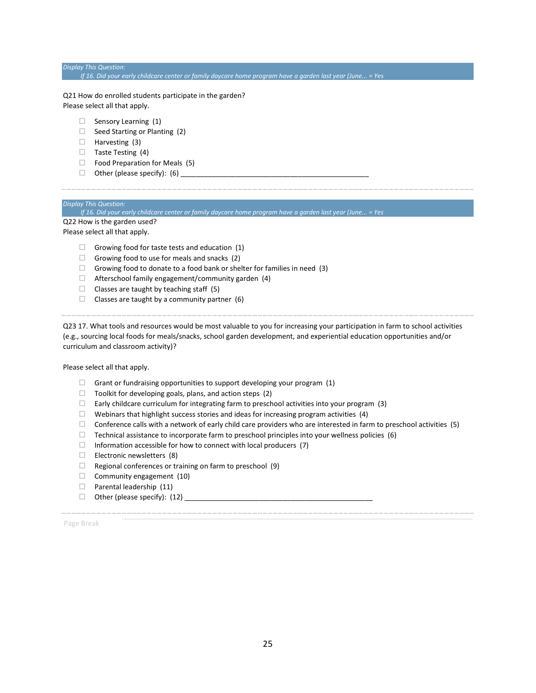### *Display This Question: If 16. Did your early childcare center or family daycare home program have a garden last year (June... = Yes*

Q21 How do enrolled students participate in the garden? Please select all that apply.

- $\Box$  Sensory Learning (1)
- $\Box$  Seed Starting or Planting (2)
- $\Box$  Harvesting (3)
- $\Box$  Taste Testing (4)
- $\Box$  Food Preparation for Meals (5)
- $\Box$  Other (please specify): (6)

### *Display This Question:*

*If 16. Did your early childcare center or family daycare home program have a garden last year (June... = Yes* Q22 How is the garden used?

Please select all that apply.

- $\Box$  Growing food for taste tests and education (1)
- $\Box$  Growing food to use for meals and snacks (2)
- $\Box$  Growing food to donate to a food bank or shelter for families in need (3)
- $\Box$  Afterschool family engagement/community garden (4)
- $\Box$  Classes are taught by teaching staff (5)
- $\Box$  Classes are taught by a community partner (6)

Q23 17. What tools and resources would be most valuable to you for increasing your participation in farm to school activities (e.g., sourcing local foods for meals/snacks, school garden development, and experiential education opportunities and/or curriculum and classroom activity)?

Please select all that apply.

- $\Box$  Grant or fundraising opportunities to support developing your program (1)
- $\Box$  Toolkit for developing goals, plans, and action steps (2)
- $\Box$  Early childcare curriculum for integrating farm to preschool activities into your program (3)
- $\Box$  Webinars that highlight success stories and ideas for increasing program activities (4)
- $\Box$  Conference calls with a network of early child care providers who are interested in farm to preschool activities (5)
- $\Box$  Technical assistance to incorporate farm to preschool principles into your wellness policies (6)
- $\Box$  Information accessible for how to connect with local producers (7)
- $\Box$  Electronic newsletters (8)
- $\Box$  Regional conferences or training on farm to preschool (9)
- $\Box$  Community engagement (10)
- $\Box$  Parental leadership (11)
- Other (please specify): (12) \_\_\_\_\_\_\_\_\_\_\_\_\_\_\_\_\_\_\_\_\_\_\_\_\_\_\_\_\_\_\_\_\_\_\_\_\_\_\_\_\_\_\_\_\_\_\_\_

Page Break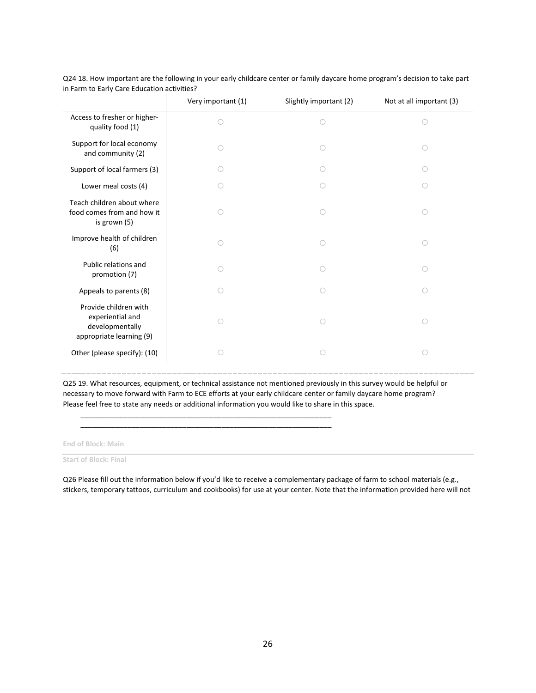|                                                                                          | Very important (1) | Slightly important (2) | Not at all important (3) |
|------------------------------------------------------------------------------------------|--------------------|------------------------|--------------------------|
| Access to fresher or higher-<br>quality food (1)                                         | O                  | $\bigcirc$             | $\bigcirc$               |
| Support for local economy<br>and community (2)                                           | ∩                  |                        |                          |
| Support of local farmers (3)                                                             |                    |                        |                          |
| Lower meal costs (4)                                                                     | ∩                  |                        | ( )                      |
| Teach children about where<br>food comes from and how it<br>is grown (5)                 | O                  | ∩                      | $\bigcirc$               |
| Improve health of children<br>(6)                                                        | O                  | ∩                      | $\bigcirc$               |
| Public relations and<br>promotion (7)                                                    | $\bigcirc$         |                        | ∩                        |
| Appeals to parents (8)                                                                   | O                  | ∩                      | ∩                        |
| Provide children with<br>experiential and<br>developmentally<br>appropriate learning (9) | O                  | Ο                      | $\bigcirc$               |
| Other (please specify): (10)                                                             | O                  |                        | ∩                        |

Q24 18. How important are the following in your early childcare center or family daycare home program's decision to take part in Farm to Early Care Education activities?

Q25 19. What resources, equipment, or technical assistance not mentioned previously in this survey would be helpful or necessary to move forward with Farm to ECE efforts at your early childcare center or family daycare home program? Please feel free to state any needs or additional information you would like to share in this space.

\_\_\_\_\_\_\_\_\_\_\_\_\_\_\_\_\_\_\_\_\_\_\_\_\_\_\_\_\_\_\_\_\_\_\_\_\_\_\_\_\_\_\_\_\_\_\_\_\_\_\_\_\_\_\_\_\_\_\_\_\_\_\_\_ \_\_\_\_\_\_\_\_\_\_\_\_\_\_\_\_\_\_\_\_\_\_\_\_\_\_\_\_\_\_\_\_\_\_\_\_\_\_\_\_\_\_\_\_\_\_\_\_\_\_\_\_\_\_\_\_\_\_\_\_\_\_\_\_

**End of Block: Main**

**Start of Block: Final**

Q26 Please fill out the information below if you'd like to receive a complementary package of farm to school materials (e.g., stickers, temporary tattoos, curriculum and cookbooks) for use at your center. Note that the information provided here will not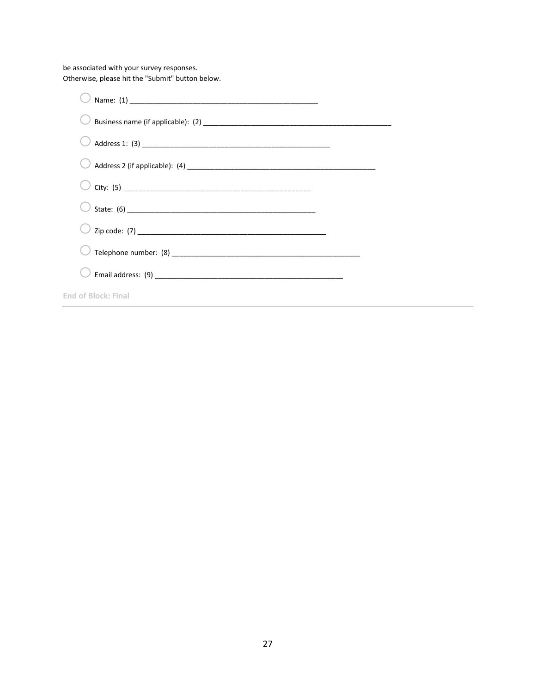be associated with your survey responses. Otherwise, please hit the "Submit" button below.

| City: $(5)$                |
|----------------------------|
|                            |
|                            |
|                            |
|                            |
| <b>End of Block: Final</b> |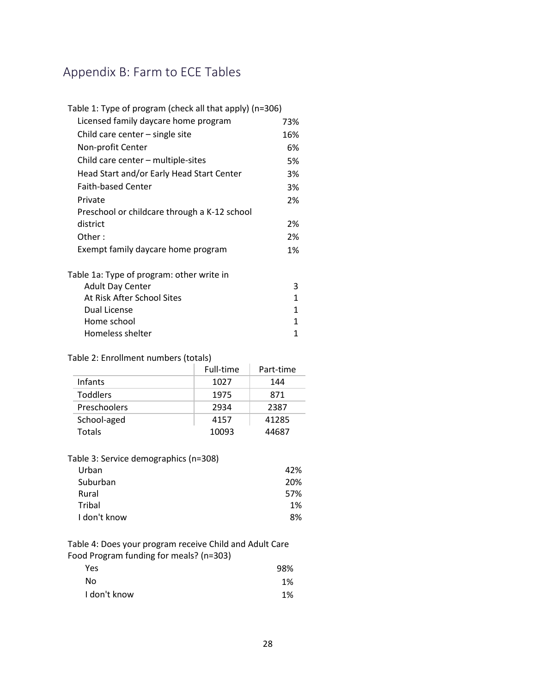# <span id="page-27-0"></span>Appendix B: Farm to ECE Tables

| Table 1: Type of program (check all that apply) (n=306) |     |
|---------------------------------------------------------|-----|
| Licensed family daycare home program                    | 73% |
| Child care center $-$ single site                       | 16% |
| Non-profit Center                                       | 6%  |
| Child care center - multiple-sites                      | 5%  |
| Head Start and/or Early Head Start Center               | 3%  |
| <b>Faith-based Center</b>                               | 3%  |
| Private                                                 | 2%  |
| Preschool or childcare through a K-12 school            |     |
| district                                                | 2%  |
| Other:                                                  | 2%  |
| Exempt family daycare home program                      | 1%  |
|                                                         |     |

| Table 1a: Type of program: other write in |  |
|-------------------------------------------|--|
| <b>Adult Day Center</b>                   |  |
| At Risk After School Sites                |  |
| Dual License                              |  |
| Home school                               |  |
| Homeless shelter                          |  |

### Table 2: Enrollment numbers (totals)

|                 | Full-time | Part-time |
|-----------------|-----------|-----------|
| Infants         | 1027      | 144       |
| <b>Toddlers</b> | 1975      | 871       |
| Preschoolers    | 2934      | 2387      |
| School-aged     | 4157      | 41285     |
| Totals          | 10093     | 44687     |

### Table 3: Service demographics (n=308)

| Urban        | 42% |
|--------------|-----|
| Suburban     | 20% |
| Rural        | 57% |
| Tribal       | 1%  |
| I don't know | 8%  |

Table 4: Does your program receive Child and Adult Care Food Program funding for meals? (n=303)

| Yes          | 98% |
|--------------|-----|
| No           | 1%  |
| I don't know | 1%  |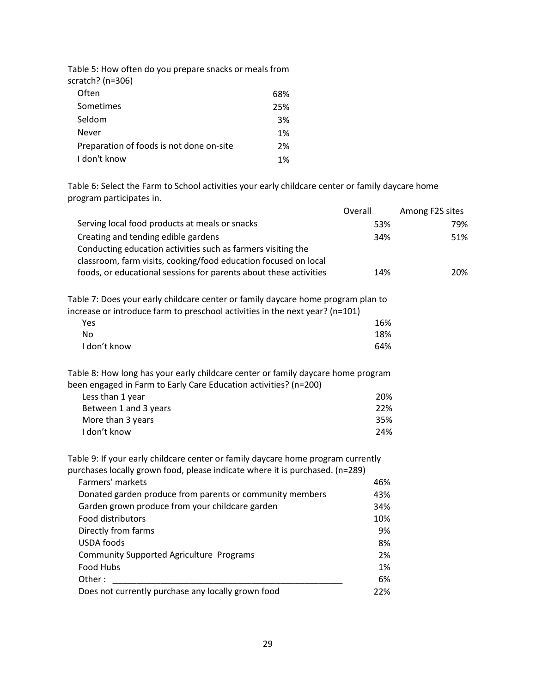| Table 5: How often do you prepare snacks or meals from |
|--------------------------------------------------------|
|                                                        |
| 68%                                                    |
| 25%                                                    |
| 3%                                                     |
| 1%                                                     |
| 2%                                                     |
| 1%                                                     |
|                                                        |

Table 6: Select the Farm to School activities your early childcare center or family daycare home program participates in.

|                                                                                                                                                      | Overall | Among F2S sites |
|------------------------------------------------------------------------------------------------------------------------------------------------------|---------|-----------------|
| Serving local food products at meals or snacks                                                                                                       | 53%     | 79%             |
| Creating and tending edible gardens                                                                                                                  | 34%     | 51%             |
| Conducting education activities such as farmers visiting the                                                                                         |         |                 |
| classroom, farm visits, cooking/food education focused on local                                                                                      |         |                 |
| foods, or educational sessions for parents about these activities                                                                                    | 14%     | 20%             |
| Table 7: Does your early childcare center or family daycare home program plan to                                                                     |         |                 |
| increase or introduce farm to preschool activities in the next year? (n=101)                                                                         |         |                 |
| Yes                                                                                                                                                  | 16%     |                 |
| <b>No</b>                                                                                                                                            | 18%     |                 |
| I don't know                                                                                                                                         | 64%     |                 |
| Table 8: How long has your early childcare center or family daycare home program<br>been engaged in Farm to Early Care Education activities? (n=200) |         |                 |
| Less than 1 year                                                                                                                                     | 20%     |                 |
| Between 1 and 3 years                                                                                                                                | 22%     |                 |
| More than 3 years                                                                                                                                    | 35%     |                 |
| I don't know                                                                                                                                         | 24%     |                 |
| Table 9: If your early childcare center or family daycare home program currently                                                                     |         |                 |
| purchases locally grown food, please indicate where it is purchased. (n=289)                                                                         |         |                 |
| Farmers' markets                                                                                                                                     | 46%     |                 |
| Donated garden produce from parents or community members                                                                                             | 43%     |                 |
| Garden grown produce from your childcare garden                                                                                                      | 34%     |                 |
| Food distributors                                                                                                                                    | 10%     |                 |
| Directly from farms                                                                                                                                  | 9%      |                 |
| <b>USDA</b> foods                                                                                                                                    | 8%      |                 |
| <b>Community Supported Agriculture Programs</b>                                                                                                      | 2%      |                 |
| Food Hubs                                                                                                                                            | 1%      |                 |
| Other:                                                                                                                                               | 6%      |                 |
| Does not currently purchase any locally grown food                                                                                                   | 22%     |                 |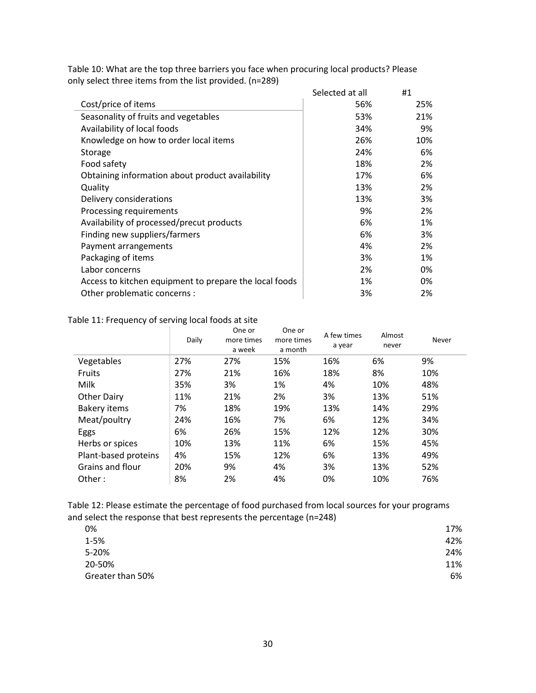|                                                        | Selected at all | #1  |
|--------------------------------------------------------|-----------------|-----|
| Cost/price of items                                    | 56%             | 25% |
| Seasonality of fruits and vegetables                   | 53%             | 21% |
| Availability of local foods                            | 34%             | 9%  |
| Knowledge on how to order local items                  | 26%             | 10% |
| Storage                                                | 24%             | 6%  |
| Food safety                                            | 18%             | 2%  |
| Obtaining information about product availability       | 17%             | 6%  |
| Quality                                                | 13%             | 2%  |
| Delivery considerations                                | 13%             | 3%  |
| Processing requirements                                | 9%              | 2%  |
| Availability of processed/precut products              | 6%              | 1%  |
| Finding new suppliers/farmers                          | 6%              | 3%  |
| Payment arrangements                                   | 4%              | 2%  |
| Packaging of items                                     | 3%              | 1%  |
| Labor concerns                                         | 2%              | 0%  |
| Access to kitchen equipment to prepare the local foods | 1%              | 0%  |
| Other problematic concerns :                           | 3%              | 2%  |

Table 10: What are the top three barriers you face when procuring local products? Please only select three items from the list provided. (n=289) Selected at all #1

### Table 11: Frequency of serving local foods at site

|                      | Daily | One or<br>more times<br>a week | One or<br>more times<br>a month | A few times<br>a year | Almost<br>never | Never |
|----------------------|-------|--------------------------------|---------------------------------|-----------------------|-----------------|-------|
| Vegetables           | 27%   | 27%                            | 15%                             | 16%                   | 6%              | 9%    |
| <b>Fruits</b>        | 27%   | 21%                            | 16%                             | 18%                   | 8%              | 10%   |
| Milk                 | 35%   | 3%                             | 1%                              | 4%                    | 10%             | 48%   |
| <b>Other Dairy</b>   | 11%   | 21%                            | 2%                              | 3%                    | 13%             | 51%   |
| <b>Bakery items</b>  | 7%    | 18%                            | 19%                             | 13%                   | 14%             | 29%   |
| Meat/poultry         | 24%   | 16%                            | 7%                              | 6%                    | 12%             | 34%   |
| Eggs                 | 6%    | 26%                            | 15%                             | 12%                   | 12%             | 30%   |
| Herbs or spices      | 10%   | 13%                            | 11%                             | 6%                    | 15%             | 45%   |
| Plant-based proteins | 4%    | 15%                            | 12%                             | 6%                    | 13%             | 49%   |
| Grains and flour     | 20%   | 9%                             | 4%                              | 3%                    | 13%             | 52%   |
| Other:               | 8%    | 2%                             | 4%                              | 0%                    | 10%             | 76%   |

Table 12: Please estimate the percentage of food purchased from local sources for your programs and select the response that best represents the percentage (n=248)

| 0%               | 17% |
|------------------|-----|
| $1 - 5%$         | 42% |
| 5-20%            | 24% |
| 20-50%           | 11% |
| Greater than 50% | 6%  |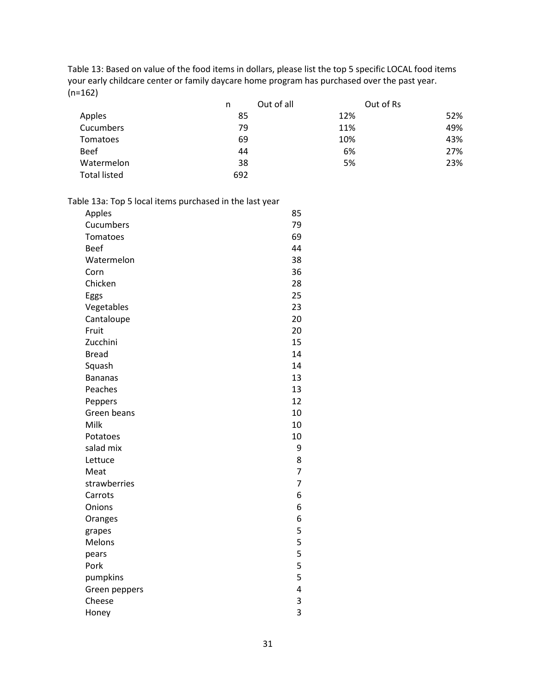Table 13: Based on value of the food items in dollars, please list the top 5 specific LOCAL food items your early childcare center or family daycare home program has purchased over the past year. (n=162)

|                     | Out of all<br>n | Out of Rs |     |
|---------------------|-----------------|-----------|-----|
| Apples              | 85              | 12%       | 52% |
| Cucumbers           | 79              | 11%       | 49% |
| Tomatoes            | 69              | 10%       | 43% |
| <b>Beef</b>         | 44              | 6%        | 27% |
| Watermelon          | 38              | 5%        | 23% |
| <b>Total listed</b> | 692             |           |     |

|  |  | Table 13a: Top 5 local items purchased in the last year |  |
|--|--|---------------------------------------------------------|--|
|--|--|---------------------------------------------------------|--|

| Apples         | 85             |
|----------------|----------------|
| Cucumbers      | 79             |
| Tomatoes       | 69             |
| <b>Beef</b>    | 44             |
| Watermelon     | 38             |
| Corn           | 36             |
| Chicken        | 28             |
| Eggs           | 25             |
| Vegetables     | 23             |
| Cantaloupe     | 20             |
| Fruit          | 20             |
| Zucchini       | 15             |
| <b>Bread</b>   | 14             |
| Squash         | 14             |
| <b>Bananas</b> | 13             |
| Peaches        | 13             |
| Peppers        | 12             |
| Green beans    | 10             |
| Milk           | 10             |
| Potatoes       | 10             |
| salad mix      | 9              |
| Lettuce        | 8              |
| Meat           | 7              |
| strawberries   | $\overline{7}$ |
| Carrots        | 6              |
| Onions         | 6              |
| Oranges        | 6              |
| grapes         | 5              |
| Melons         | 5              |
| pears          | 5              |
| Pork           | 5              |
| pumpkins       | 5              |
| Green peppers  | 4              |
| Cheese         | 3              |
| Honey          | 3              |
|                |                |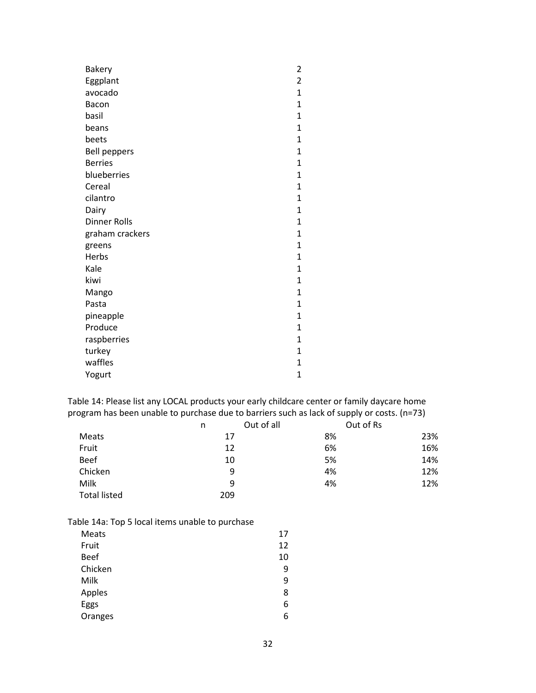| Bakery              | 2                       |
|---------------------|-------------------------|
| Eggplant            | $\overline{\mathbf{c}}$ |
| avocado             | $\mathbf{1}$            |
| Bacon               | $\mathbf 1$             |
| basil               | $\overline{1}$          |
| beans               | 1                       |
| beets               | $\overline{1}$          |
| <b>Bell peppers</b> | $\overline{1}$          |
| <b>Berries</b>      | $\mathbf{1}$            |
| blueberries         | $\mathbf 1$             |
| Cereal              | $\mathbf 1$             |
| cilantro            | $\overline{1}$          |
| Dairy               | $\overline{1}$          |
| <b>Dinner Rolls</b> | 1                       |
| graham crackers     | $\overline{1}$          |
| greens              | $\overline{1}$          |
| Herbs               | 1                       |
| Kale                | $\mathbf 1$             |
| kiwi                | 1                       |
| Mango               | $\overline{1}$          |
| Pasta               | $\overline{1}$          |
| pineapple           | $\mathbf{1}$            |
| Produce             | $\mathbf 1$             |
| raspberries         | $\mathbf{1}$            |
| turkey              | $\mathbf 1$             |
| waffles             | $\overline{1}$          |
| Yogurt              | $\mathbf 1$             |

Table 14: Please list any LOCAL products your early childcare center or family daycare home program has been unable to purchase due to barriers such as lack of supply or costs. (n=73)

|                     | n   | Out of all | Out of Rs |
|---------------------|-----|------------|-----------|
| Meats               | 17  | 8%         | 23%       |
| Fruit               | 12  | 6%         | 16%       |
| <b>Beef</b>         | 10  | 5%         | 14%       |
| Chicken             | 9   | 4%         | 12%       |
| Milk                | 9   | 4%         | 12%       |
| <b>Total listed</b> | 209 |            |           |

Table 14a: Top 5 local items unable to purchase

| Meats       | 17 |
|-------------|----|
| Fruit       | 12 |
| <b>Beef</b> | 10 |
| Chicken     | 9  |
| Milk        | 9  |
| Apples      | 8  |
| Eggs        | 6  |
| Oranges     | 6  |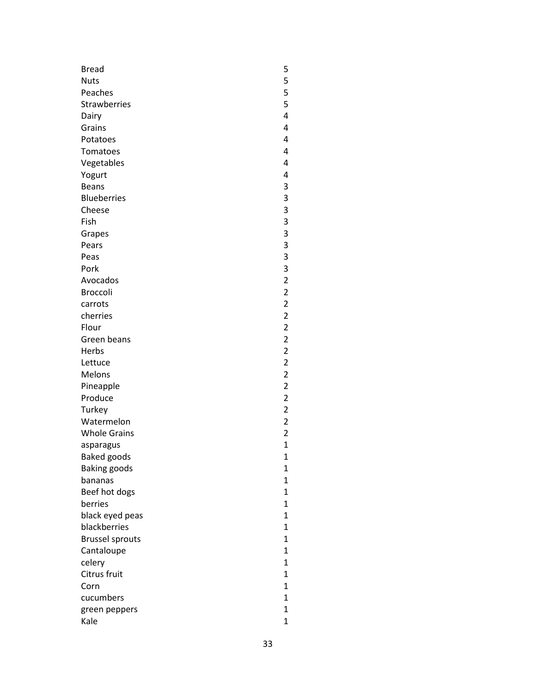| <b>Bread</b>           | 5                       |
|------------------------|-------------------------|
| <b>Nuts</b>            | 5                       |
| Peaches                | 5                       |
| <b>Strawberries</b>    | 5                       |
| Dairy                  | 4                       |
| Grains                 | 4                       |
| Potatoes               | 4                       |
| Tomatoes               | 4                       |
| Vegetables             | 4                       |
|                        | 4                       |
| Yogurt<br><b>Beans</b> | 3                       |
| <b>Blueberries</b>     | 3                       |
| Cheese                 | 3                       |
| Fish                   | 3                       |
|                        |                         |
| Grapes                 | 3                       |
| Pears                  | 3                       |
| Peas                   | 3<br>3                  |
| Pork                   |                         |
| Avocados               | $\overline{\mathbf{c}}$ |
| Broccoli               | $\overline{\mathbf{c}}$ |
| carrots                | $\overline{\mathbf{c}}$ |
| cherries               | $\overline{\mathbf{c}}$ |
| Flour                  | $\overline{\mathbf{c}}$ |
| Green beans            | $\overline{\mathbf{c}}$ |
| Herbs                  | $\overline{\mathbf{c}}$ |
| Lettuce                | $\overline{c}$          |
| Melons                 | $\overline{a}$          |
| Pineapple              | $\overline{\mathbf{c}}$ |
| Produce                | $\overline{\mathbf{c}}$ |
| Turkey                 | $\overline{\mathbf{c}}$ |
| Watermelon             | $\overline{c}$          |
| <b>Whole Grains</b>    | $\overline{c}$          |
| asparagus              | $\mathbf{1}$            |
| <b>Baked goods</b>     | 1                       |
| <b>Baking goods</b>    | $\mathbf{1}$            |
| bananas                | $\mathbf{1}$            |
| Beef hot dogs          | $\mathbf{1}$            |
| berries                | 1                       |
| black eyed peas        | $\overline{1}$          |
| blackberries           | $\mathbf{1}$            |
| <b>Brussel sprouts</b> | $\mathbf{1}$            |
| Cantaloupe             | $\mathbf{1}$            |
| celery                 | 1                       |
| Citrus fruit           | $\mathbf{1}$            |
| Corn                   | 1                       |
| cucumbers              | $\mathbf{1}$            |
| green peppers          | $\mathbf{1}$            |
| Kale                   | $\mathbf{1}$            |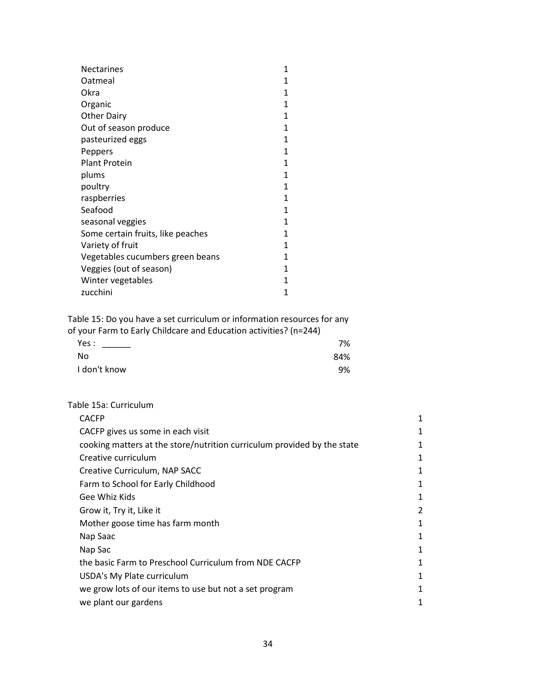| <b>Nectarines</b>                 | 1            |
|-----------------------------------|--------------|
| Oatmeal                           | 1            |
| Okra                              | 1            |
| Organic                           | 1            |
| <b>Other Dairy</b>                | 1            |
| Out of season produce             | $\mathbf{1}$ |
| pasteurized eggs                  | 1            |
| Peppers                           | 1            |
| <b>Plant Protein</b>              | 1            |
| plums                             | 1            |
| poultry                           | $\mathbf{1}$ |
| raspberries                       | 1            |
| Seafood                           | 1            |
| seasonal veggies                  | $\mathbf{1}$ |
| Some certain fruits, like peaches | 1            |
| Variety of fruit                  | 1            |
| Vegetables cucumbers green beans  | 1            |
| Veggies (out of season)           | 1            |
| Winter vegetables                 | 1            |
| zucchini                          | 1            |

Table 15: Do you have a set curriculum or information resources for any of your Farm to Early Childcare and Education activities? (n=244)

| $\frac{1}{2}$ , $\frac{1}{2}$ , $\frac{1}{2}$ , $\frac{1}{2}$ , $\frac{1}{2}$ , $\frac{1}{2}$ , $\frac{1}{2}$ , $\frac{1}{2}$ , $\frac{1}{2}$ , $\frac{1}{2}$ , $\frac{1}{2}$ , $\frac{1}{2}$ , $\frac{1}{2}$ , $\frac{1}{2}$ , $\frac{1}{2}$ , $\frac{1}{2}$ , $\frac{1}{2}$ , $\frac{1}{2}$ , $\frac{1$ |     |
|-----------------------------------------------------------------------------------------------------------------------------------------------------------------------------------------------------------------------------------------------------------------------------------------------------------|-----|
| Yes : the control of the control of the control of the control of the control of the control of the control of                                                                                                                                                                                            | 7%  |
| - No                                                                                                                                                                                                                                                                                                      | 84% |
| I don't know                                                                                                                                                                                                                                                                                              | 9%  |
|                                                                                                                                                                                                                                                                                                           |     |

### Table 15a: Curriculum

| <b>CACFP</b>                                                            | 1 |
|-------------------------------------------------------------------------|---|
| CACFP gives us some in each visit                                       | 1 |
| cooking matters at the store/nutrition curriculum provided by the state | 1 |
| Creative curriculum                                                     | 1 |
| Creative Curriculum, NAP SACC                                           | 1 |
| Farm to School for Early Childhood                                      | 1 |
| Gee Whiz Kids                                                           | 1 |
| Grow it, Try it, Like it                                                | 2 |
| Mother goose time has farm month                                        | 1 |
| Nap Saac                                                                | 1 |
| Nap Sac                                                                 | 1 |
| the basic Farm to Preschool Curriculum from NDE CACFP                   | 1 |
| USDA's My Plate curriculum                                              | 1 |
| we grow lots of our items to use but not a set program                  | 1 |
| we plant our gardens                                                    | 1 |
|                                                                         |   |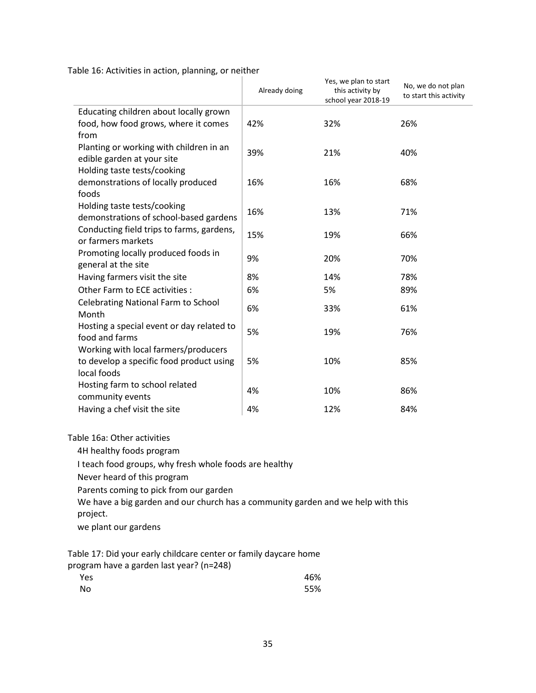Table 16: Activities in action, planning, or neither

|                                            | Already doing | Yes, we plan to start<br>this activity by<br>school year 2018-19 | No, we do not plan<br>to start this activity |
|--------------------------------------------|---------------|------------------------------------------------------------------|----------------------------------------------|
| Educating children about locally grown     |               |                                                                  |                                              |
| food, how food grows, where it comes       | 42%           | 32%                                                              | 26%                                          |
| from                                       |               |                                                                  |                                              |
| Planting or working with children in an    | 39%           | 21%                                                              | 40%                                          |
| edible garden at your site                 |               |                                                                  |                                              |
| Holding taste tests/cooking                |               |                                                                  |                                              |
| demonstrations of locally produced         | 16%           | 16%                                                              | 68%                                          |
| foods                                      |               |                                                                  |                                              |
| Holding taste tests/cooking                | 16%           | 13%                                                              | 71%                                          |
| demonstrations of school-based gardens     |               |                                                                  |                                              |
| Conducting field trips to farms, gardens,  | 15%           | 19%                                                              | 66%                                          |
| or farmers markets                         |               |                                                                  |                                              |
| Promoting locally produced foods in        | 9%            | 20%                                                              | 70%                                          |
| general at the site                        |               |                                                                  |                                              |
| Having farmers visit the site              | 8%            | 14%                                                              | 78%                                          |
| Other Farm to ECE activities :             | 6%            | 5%                                                               | 89%                                          |
| <b>Celebrating National Farm to School</b> | 6%            | 33%                                                              | 61%                                          |
| Month                                      |               |                                                                  |                                              |
| Hosting a special event or day related to  | 5%            | 19%                                                              | 76%                                          |
| food and farms                             |               |                                                                  |                                              |
| Working with local farmers/producers       |               |                                                                  |                                              |
| to develop a specific food product using   | 5%            | 10%                                                              | 85%                                          |
| local foods                                |               |                                                                  |                                              |
| Hosting farm to school related             | 4%            | 10%                                                              | 86%                                          |
| community events                           |               |                                                                  |                                              |
| Having a chef visit the site               | 4%            | 12%                                                              | 84%                                          |
|                                            |               |                                                                  |                                              |

Table 16a: Other activities

4H healthy foods program

I teach food groups, why fresh whole foods are healthy

Never heard of this program

Parents coming to pick from our garden

We have a big garden and our church has a community garden and we help with this project.

we plant our gardens

Table 17: Did your early childcare center or family daycare home program have a garden last year? (n=248)

| Yes | 46% |
|-----|-----|
| No  | 55% |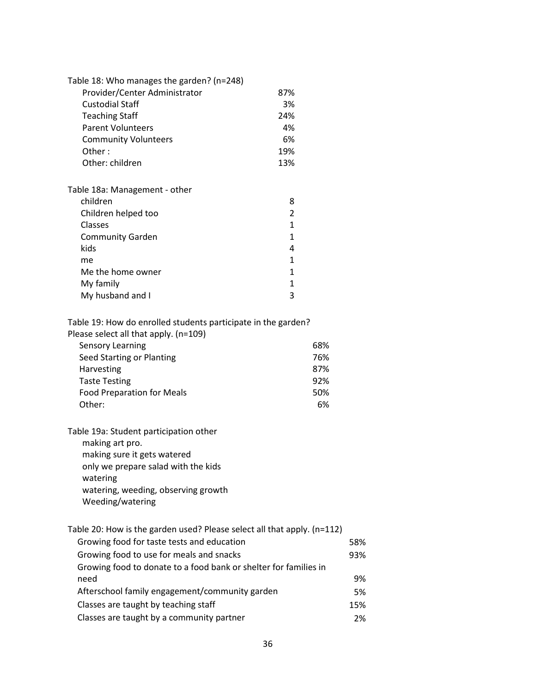| Table 18: Who manages the garden? (n=248) |                |
|-------------------------------------------|----------------|
| Provider/Center Administrator             | 87%            |
| Custodial Staff                           | 3%             |
| <b>Teaching Staff</b>                     | 24%            |
| <b>Parent Volunteers</b>                  | 4%             |
| <b>Community Volunteers</b>               | 6%             |
| Other:                                    | 19%            |
| Other: children                           | 13%            |
| Table 18a: Management - other             |                |
| children                                  | 8              |
| Children helped too                       | $\mathfrak{p}$ |
| Classes                                   | 1              |
| <b>Community Garden</b>                   | 1              |
| kids                                      |                |

| .                 |   |
|-------------------|---|
| me                |   |
| Me the home owner |   |
| My family         |   |
| My husband and I  | ₹ |
|                   |   |

Table 19: How do enrolled students participate in the garden?

| Please select all that apply. (n=109) |  |
|---------------------------------------|--|
| Sensory Learning                      |  |

| Sensory Learning                  | 68% |
|-----------------------------------|-----|
| Seed Starting or Planting         | 76% |
| <b>Harvesting</b>                 | 87% |
| <b>Taste Testing</b>              | 92% |
| <b>Food Preparation for Meals</b> | 50% |
| Other:                            | 6%  |

Table 19a: Student participation other making art pro. making sure it gets watered only we prepare salad with the kids watering watering, weeding, observing growth Weeding/watering

| Table 20: How is the garden used? Please select all that apply. (n=112) |     |
|-------------------------------------------------------------------------|-----|
| Growing food for taste tests and education                              | 58% |
| Growing food to use for meals and snacks                                | 93% |
| Growing food to donate to a food bank or shelter for families in        |     |
| need                                                                    | 9%  |
| Afterschool family engagement/community garden                          | 5%  |
| Classes are taught by teaching staff                                    | 15% |
| Classes are taught by a community partner                               | 2%  |
|                                                                         |     |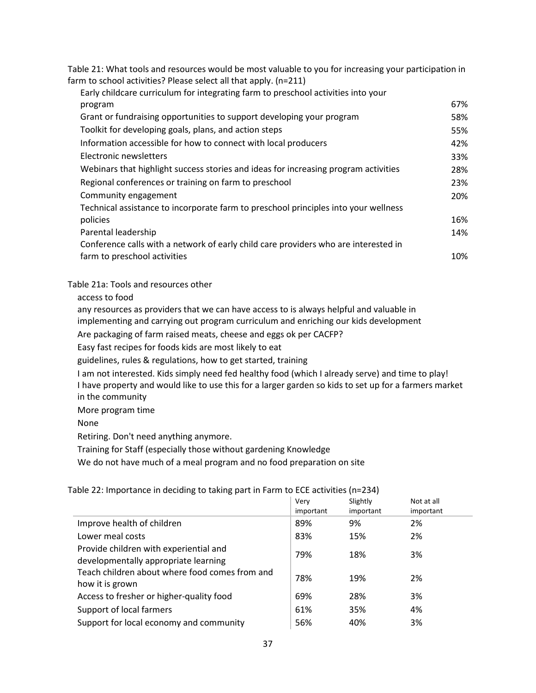Table 21: What tools and resources would be most valuable to you for increasing your participation in farm to school activities? Please select all that apply. (n=211)

| Early childcare curriculum for integrating farm to preschool activities into your   |     |
|-------------------------------------------------------------------------------------|-----|
| program                                                                             | 67% |
| Grant or fundraising opportunities to support developing your program               | 58% |
| Toolkit for developing goals, plans, and action steps                               | 55% |
| Information accessible for how to connect with local producers                      | 42% |
| Electronic newsletters                                                              | 33% |
| Webinars that highlight success stories and ideas for increasing program activities | 28% |
| Regional conferences or training on farm to preschool                               | 23% |
| Community engagement                                                                | 20% |
| Technical assistance to incorporate farm to preschool principles into your wellness |     |
| policies                                                                            | 16% |
| Parental leadership                                                                 | 14% |
| Conference calls with a network of early child care providers who are interested in |     |
| farm to preschool activities                                                        | 10% |

Table 21a: Tools and resources other

access to food

any resources as providers that we can have access to is always helpful and valuable in

implementing and carrying out program curriculum and enriching our kids development

Are packaging of farm raised meats, cheese and eggs ok per CACFP?

Easy fast recipes for foods kids are most likely to eat

guidelines, rules & regulations, how to get started, training

I am not interested. Kids simply need fed healthy food (which I already serve) and time to play! I have property and would like to use this for a larger garden so kids to set up for a farmers market in the community

More program time

None

Retiring. Don't need anything anymore.

Training for Staff (especially those without gardening Knowledge

We do not have much of a meal program and no food preparation on site

Table 22: Importance in deciding to taking part in Farm to ECE activities (n=234)

|                                                                                | Verv<br>important | Slightly<br>important | Not at all<br>important |
|--------------------------------------------------------------------------------|-------------------|-----------------------|-------------------------|
| Improve health of children                                                     | 89%               | 9%                    | 2%                      |
| Lower meal costs                                                               | 83%               | 15%                   | 2%                      |
| Provide children with experiential and<br>developmentally appropriate learning | 79%               | 18%                   | 3%                      |
| Teach children about where food comes from and<br>how it is grown              | 78%               | 19%                   | 2%                      |
| Access to fresher or higher-quality food                                       | 69%               | 28%                   | 3%                      |
| Support of local farmers                                                       | 61%               | 35%                   | 4%                      |
| Support for local economy and community                                        | 56%               | 40%                   | 3%                      |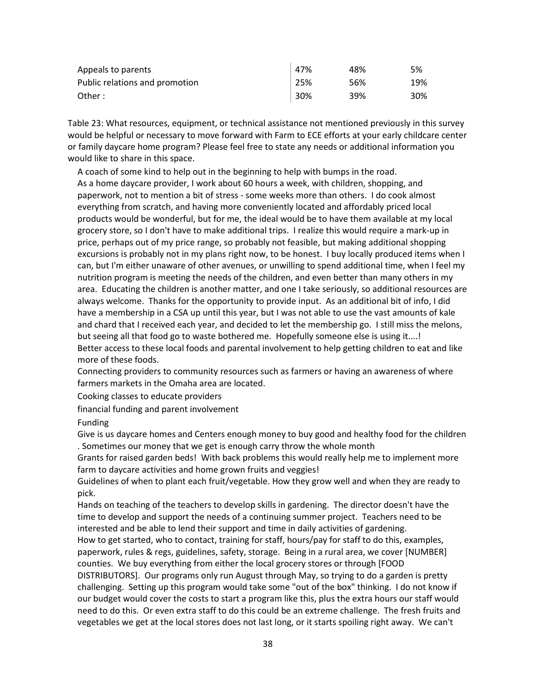| Appeals to parents             | 47% | 48% | 5%  |
|--------------------------------|-----|-----|-----|
| Public relations and promotion | 25% | 56% | 19% |
| Other:                         | 30% | 39% | 30% |

Table 23: What resources, equipment, or technical assistance not mentioned previously in this survey would be helpful or necessary to move forward with Farm to ECE efforts at your early childcare center or family daycare home program? Please feel free to state any needs or additional information you would like to share in this space.

A coach of some kind to help out in the beginning to help with bumps in the road. As a home daycare provider, I work about 60 hours a week, with children, shopping, and paperwork, not to mention a bit of stress - some weeks more than others. I do cook almost everything from scratch, and having more conveniently located and affordably priced local products would be wonderful, but for me, the ideal would be to have them available at my local grocery store, so I don't have to make additional trips. I realize this would require a mark-up in price, perhaps out of my price range, so probably not feasible, but making additional shopping excursions is probably not in my plans right now, to be honest. I buy locally produced items when I can, but I'm either unaware of other avenues, or unwilling to spend additional time, when I feel my nutrition program is meeting the needs of the children, and even better than many others in my area. Educating the children is another matter, and one I take seriously, so additional resources are always welcome. Thanks for the opportunity to provide input. As an additional bit of info, I did have a membership in a CSA up until this year, but I was not able to use the vast amounts of kale and chard that I received each year, and decided to let the membership go. I still miss the melons, but seeing all that food go to waste bothered me. Hopefully someone else is using it....! Better access to these local foods and parental involvement to help getting children to eat and like more of these foods.

Connecting providers to community resources such as farmers or having an awareness of where farmers markets in the Omaha area are located.

Cooking classes to educate providers

financial funding and parent involvement

Funding

Give is us daycare homes and Centers enough money to buy good and healthy food for the children . Sometimes our money that we get is enough carry throw the whole month

Grants for raised garden beds! With back problems this would really help me to implement more farm to daycare activities and home grown fruits and veggies!

Guidelines of when to plant each fruit/vegetable. How they grow well and when they are ready to pick.

Hands on teaching of the teachers to develop skills in gardening. The director doesn't have the time to develop and support the needs of a continuing summer project. Teachers need to be interested and be able to lend their support and time in daily activities of gardening.

How to get started, who to contact, training for staff, hours/pay for staff to do this, examples, paperwork, rules & regs, guidelines, safety, storage. Being in a rural area, we cover [NUMBER] counties. We buy everything from either the local grocery stores or through [FOOD

DISTRIBUTORS]. Our programs only run August through May, so trying to do a garden is pretty challenging. Setting up this program would take some "out of the box" thinking. I do not know if our budget would cover the costs to start a program like this, plus the extra hours our staff would need to do this. Or even extra staff to do this could be an extreme challenge. The fresh fruits and vegetables we get at the local stores does not last long, or it starts spoiling right away. We can't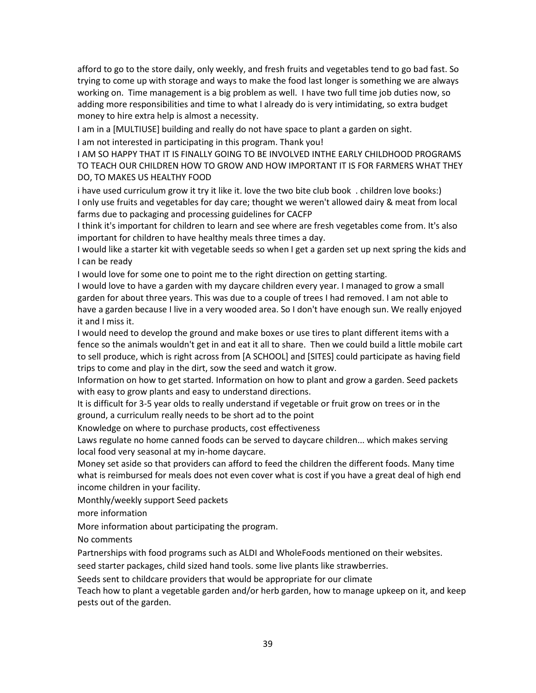afford to go to the store daily, only weekly, and fresh fruits and vegetables tend to go bad fast. So trying to come up with storage and ways to make the food last longer is something we are always working on. Time management is a big problem as well. I have two full time job duties now, so adding more responsibilities and time to what I already do is very intimidating, so extra budget money to hire extra help is almost a necessity.

I am in a [MULTIUSE] building and really do not have space to plant a garden on sight.

I am not interested in participating in this program. Thank you!

I AM SO HAPPY THAT IT IS FINALLY GOING TO BE INVOLVED INTHE EARLY CHILDHOOD PROGRAMS TO TEACH OUR CHILDREN HOW TO GROW AND HOW IMPORTANT IT IS FOR FARMERS WHAT THEY DO, TO MAKES US HEALTHY FOOD

i have used curriculum grow it try it like it. love the two bite club book . children love books:) I only use fruits and vegetables for day care; thought we weren't allowed dairy & meat from local farms due to packaging and processing guidelines for CACFP

I think it's important for children to learn and see where are fresh vegetables come from. It's also important for children to have healthy meals three times a day.

I would like a starter kit with vegetable seeds so when I get a garden set up next spring the kids and I can be ready

I would love for some one to point me to the right direction on getting starting.

I would love to have a garden with my daycare children every year. I managed to grow a small garden for about three years. This was due to a couple of trees I had removed. I am not able to have a garden because I live in a very wooded area. So I don't have enough sun. We really enjoyed it and I miss it.

I would need to develop the ground and make boxes or use tires to plant different items with a fence so the animals wouldn't get in and eat it all to share. Then we could build a little mobile cart to sell produce, which is right across from [A SCHOOL] and [SITES] could participate as having field trips to come and play in the dirt, sow the seed and watch it grow.

Information on how to get started. Information on how to plant and grow a garden. Seed packets with easy to grow plants and easy to understand directions.

It is difficult for 3-5 year olds to really understand if vegetable or fruit grow on trees or in the ground, a curriculum really needs to be short ad to the point

Knowledge on where to purchase products, cost effectiveness

Laws regulate no home canned foods can be served to daycare children... which makes serving local food very seasonal at my in-home daycare.

Money set aside so that providers can afford to feed the children the different foods. Many time what is reimbursed for meals does not even cover what is cost if you have a great deal of high end income children in your facility.

Monthly/weekly support Seed packets

more information

More information about participating the program.

No comments

Partnerships with food programs such as ALDI and WholeFoods mentioned on their websites.

seed starter packages, child sized hand tools. some live plants like strawberries.

Seeds sent to childcare providers that would be appropriate for our climate

Teach how to plant a vegetable garden and/or herb garden, how to manage upkeep on it, and keep pests out of the garden.